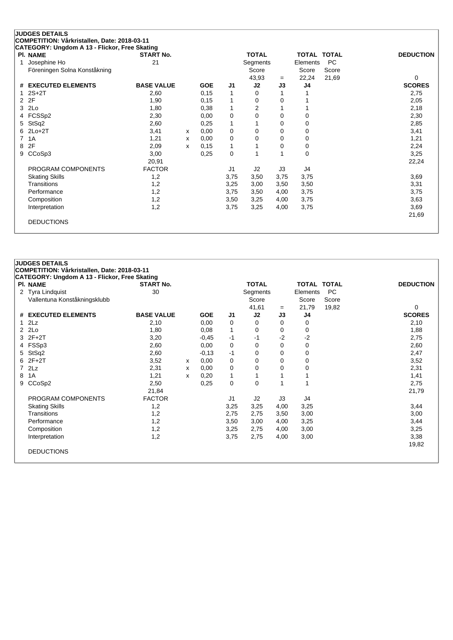|   | COMPETITION: Vårkristallen, Date: 2018-03-11<br>CATEGORY: Ungdom A 13 - Flickor, Free Skating |                   |              |            |                |                |             |                    |           |                  |
|---|-----------------------------------------------------------------------------------------------|-------------------|--------------|------------|----------------|----------------|-------------|--------------------|-----------|------------------|
|   | <b>PI. NAME</b>                                                                               | <b>START No.</b>  |              |            |                | <b>TOTAL</b>   |             | <b>TOTAL TOTAL</b> |           | <b>DEDUCTION</b> |
|   | Josephine Ho                                                                                  | 21                |              |            |                | Segments       |             | Elements           | <b>PC</b> |                  |
|   | Föreningen Solna Konståkning                                                                  |                   |              |            |                | Score          |             | Score              | Score     |                  |
|   |                                                                                               |                   |              |            |                | 43,93          | $=$         | 22,24              | 21,69     | 0                |
| # | <b>EXECUTED ELEMENTS</b>                                                                      | <b>BASE VALUE</b> |              | <b>GOE</b> | J1             | J2             | J3          | J4                 |           | <b>SCORES</b>    |
|   | $2S+2T$                                                                                       | 2,60              |              | 0,15       |                | $\Omega$       |             |                    |           | 2,75             |
| 2 | 2F                                                                                            | 1,90              |              | 0,15       |                | $\Omega$       | $\Omega$    |                    |           | 2,05             |
| 3 | 2Lo                                                                                           | 1,80              |              | 0,38       |                | $\overline{2}$ |             |                    |           | 2,18             |
|   | FCSSp2                                                                                        | 2,30              |              | 0,00       | 0              | 0              | 0           | 0                  |           | 2,30             |
| 5 | StSq2                                                                                         | 2,60              |              | 0,25       |                |                | 0           | 0                  |           | 2,85             |
| 6 | $2Lo+2T$                                                                                      | 3,41              | x            | 0,00       | 0              | $\Omega$       | 0           | 0                  |           | 3,41             |
|   | 1A                                                                                            | 1,21              | $\mathsf{x}$ | 0,00       | $\Omega$       | $\Omega$       | $\mathbf 0$ | 0                  |           | 1,21             |
| 8 | 2F                                                                                            | 2,09              | x            | 0, 15      |                |                | 0           | 0                  |           | 2,24             |
| 9 | CCoSp3                                                                                        | 3,00              |              | 0,25       | 0              |                |             | 0                  |           | 3,25             |
|   |                                                                                               | 20,91             |              |            |                |                |             |                    |           | 22,24            |
|   | PROGRAM COMPONENTS                                                                            | <b>FACTOR</b>     |              |            | J <sub>1</sub> | J2             | J3          | J4                 |           |                  |
|   | <b>Skating Skills</b>                                                                         | 1,2               |              |            | 3,75           | 3,50           | 3,75        | 3,75               |           | 3,69             |
|   | <b>Transitions</b>                                                                            | 1,2               |              |            | 3,25           | 3,00           | 3,50        | 3,50               |           | 3,31             |
|   | Performance                                                                                   | 1,2               |              |            | 3,75           | 3,50           | 4,00        | 3,75               |           | 3,75             |
|   | Composition                                                                                   | 1,2               |              |            | 3,50           | 3,25           | 4,00        | 3,75               |           | 3,63             |
|   | Interpretation                                                                                | 1,2               |              |            | 3,75           | 3,25           | 4,00        | 3,75               |           | 3,69             |
|   |                                                                                               |                   |              |            |                |                |             |                    |           | 21,69            |

|              | <b>JUDGES DETAILS</b><br>COMPETITION: Vårkristallen, Date: 2018-03-11 |                   |   |            |             |              |      |                    |       |                  |
|--------------|-----------------------------------------------------------------------|-------------------|---|------------|-------------|--------------|------|--------------------|-------|------------------|
|              | CATEGORY: Ungdom A 13 - Flickor, Free Skating                         |                   |   |            |             |              |      |                    |       |                  |
|              | PI. NAME                                                              | <b>START No.</b>  |   |            |             | <b>TOTAL</b> |      | <b>TOTAL TOTAL</b> |       | <b>DEDUCTION</b> |
| $\mathbf{2}$ | <b>Tyra Lindquist</b>                                                 | 30                |   |            |             | Segments     |      | Elements           | PC    |                  |
|              | Vallentuna Konståkningsklubb                                          |                   |   |            |             | Score        |      | Score              | Score |                  |
|              |                                                                       |                   |   |            |             | 41,61        | $=$  | 21,79              | 19,82 | 0                |
| #            | <b>EXECUTED ELEMENTS</b>                                              | <b>BASE VALUE</b> |   | <b>GOE</b> | J1          | J2           | J3   | J4                 |       | <b>SCORES</b>    |
| 1            | 2Lz                                                                   | 2,10              |   | 0,00       | 0           | 0            | 0    | 0                  |       | 2,10             |
| $\mathbf{2}$ | 2Lo                                                                   | 1,80              |   | 0,08       | 1           | 0            | 0    | $\mathbf 0$        |       | 1,88             |
|              | 3 2F+2T                                                               | 3,20              |   | $-0,45$    | -1          | $-1$         | $-2$ | $-2$               |       | 2,75             |
| 4            | FSSp3                                                                 | 2,60              |   | 0,00       | $\mathbf 0$ | 0            | 0    | 0                  |       | 2,60             |
| 5            | StSq2                                                                 | 2,60              |   | $-0,13$    | $-1$        | 0            | 0    | 0                  |       | 2,47             |
| 6            | $2F+2T$                                                               | 3,52              | x | 0,00       | 0           | 0            | 0    | 0                  |       | 3,52             |
|              | 2Lz                                                                   | 2,31              | х | 0,00       | 0           | 0            | 0    | 0                  |       | 2,31             |
| 8            | 1A                                                                    | 1,21              | X | 0,20       | 1           | 1            |      |                    |       | 1,41             |
| 9            | CCoSp2                                                                | 2,50              |   | 0,25       | 0           | 0            |      |                    |       | 2,75             |
|              |                                                                       | 21,84             |   |            |             |              |      |                    |       | 21,79            |
|              | PROGRAM COMPONENTS                                                    | <b>FACTOR</b>     |   |            | J1          | J2           | J3   | J4                 |       |                  |
|              | <b>Skating Skills</b>                                                 | 1,2               |   |            | 3,25        | 3,25         | 4,00 | 3,25               |       | 3,44             |
|              | Transitions                                                           | 1,2               |   |            | 2,75        | 2,75         | 3,50 | 3,00               |       | 3,00             |
|              | Performance                                                           | 1,2               |   |            | 3,50        | 3,00         | 4,00 | 3,25               |       | 3,44             |
|              | Composition                                                           | 1,2               |   |            | 3,25        | 2,75         | 4,00 | 3,00               |       | 3,25             |
|              | Interpretation                                                        | 1,2               |   |            | 3,75        | 2,75         | 4,00 | 3,00               |       | 3,38             |
|              |                                                                       |                   |   |            |             |              |      |                    |       | 19,82            |
|              | <b>DEDUCTIONS</b>                                                     |                   |   |            |             |              |      |                    |       |                  |
|              |                                                                       |                   |   |            |             |              |      |                    |       |                  |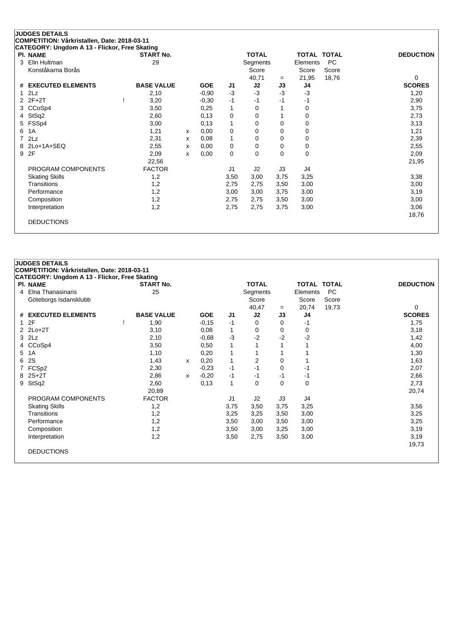|   | <b>JUDGES DETAILS</b>                         |                   |   |            |                |              |          |                    |           |                  |
|---|-----------------------------------------------|-------------------|---|------------|----------------|--------------|----------|--------------------|-----------|------------------|
|   | COMPETITION: Vårkristallen, Date: 2018-03-11  |                   |   |            |                |              |          |                    |           |                  |
|   | CATEGORY: Ungdom A 13 - Flickor, Free Skating |                   |   |            |                |              |          |                    |           |                  |
|   | PI. NAME                                      | <b>START No.</b>  |   |            |                | <b>TOTAL</b> |          | <b>TOTAL TOTAL</b> |           | <b>DEDUCTION</b> |
| 3 | Elin Hultman                                  | 29                |   |            |                | Segments     |          | Elements           | <b>PC</b> |                  |
|   | Konståkarna Borås                             |                   |   |            |                | Score        |          | Score              | Score     |                  |
|   |                                               |                   |   |            |                | 40,71        | $=$      | 21,95              | 18,76     | 0                |
| # | <b>EXECUTED ELEMENTS</b>                      | <b>BASE VALUE</b> |   | <b>GOE</b> | J1             | J2           | J3       | J4                 |           | <b>SCORES</b>    |
|   | 2Lz                                           | 2,10              |   | $-0,90$    | $-3$           | $-3$         | $-3$     | $-3$               |           | 1,20             |
|   | $2F+2T$                                       | 3,20              |   | $-0.30$    | $-1$           | -1           | $-1$     | -1                 |           | 2,90             |
|   | CCoSp4                                        | 3,50              |   | 0,25       | 1              | $\Omega$     |          | 0                  |           | 3,75             |
| 4 | StSq2                                         | 2,60              |   | 0,13       | 0              | 0            |          | 0                  |           | 2,73             |
| 5 | FSSp4                                         | 3,00              |   | 0,13       | 1              | 0            | 0        | 0                  |           | 3,13             |
| 6 | 1A                                            | 1,21              | X | 0,00       | 0              | 0            | 0        | 0                  |           | 1,21             |
| 7 | 2Lz                                           | 2,31              | x | 0,08       | 1              | 0            | 0        | 0                  |           | 2,39             |
| 8 | 2Lo+1A+SEQ                                    | 2,55              | x | 0,00       | 0              | $\Omega$     | $\Omega$ | 0                  |           | 2,55             |
| 9 | 2F                                            | 2,09              | x | 0,00       | 0              | $\Omega$     | $\Omega$ | $\mathbf 0$        |           | 2,09             |
|   |                                               | 22,56             |   |            |                |              |          |                    |           | 21,95            |
|   | PROGRAM COMPONENTS                            | <b>FACTOR</b>     |   |            | J <sub>1</sub> | J2           | J3       | J4                 |           |                  |
|   | <b>Skating Skills</b>                         | 1,2               |   |            | 3,50           | 3,00         | 3,75     | 3,25               |           | 3,38             |
|   | Transitions                                   | 1,2               |   |            | 2,75           | 2,75         | 3,50     | 3,00               |           | 3,00             |
|   | Performance                                   | 1,2               |   |            | 3,00           | 3,00         | 3,75     | 3,00               |           | 3,19             |
|   | Composition                                   | 1,2               |   |            | 2,75           | 2,75         | 3,50     | 3,00               |           | 3,00             |
|   | Interpretation                                | 1,2               |   |            | 2,75           | 2,75         | 3,75     | 3,00               |           | 3,06             |
|   |                                               |                   |   |            |                |              |          |                    |           | 18,76            |
|   | <b>DEDUCTIONS</b>                             |                   |   |            |                |              |          |                    |           |                  |
|   |                                               |                   |   |            |                |              |          |                    |           |                  |

|   | <b>JUDGES DETAILS</b>                         |                   |   |            |              |              |      |             |       |                  |
|---|-----------------------------------------------|-------------------|---|------------|--------------|--------------|------|-------------|-------|------------------|
|   | COMPETITION: Vårkristallen, Date: 2018-03-11  |                   |   |            |              |              |      |             |       |                  |
|   | CATEGORY: Ungdom A 13 - Flickor, Free Skating |                   |   |            |              |              |      |             |       |                  |
|   | PI. NAME                                      | <b>START No.</b>  |   |            |              | <b>TOTAL</b> |      | TOTAL TOTAL |       | <b>DEDUCTION</b> |
|   | 4 Elna Thanasinaris                           | 25                |   |            |              | Segments     |      | Elements    | PC    |                  |
|   | Göteborgs Isdansklubb                         |                   |   |            |              | Score        |      | Score       | Score |                  |
|   |                                               |                   |   |            |              | 40,47        | $=$  | 20,74       | 19,73 | 0                |
|   | # EXECUTED ELEMENTS                           | <b>BASE VALUE</b> |   | <b>GOE</b> | J1           | J2           | J3   | J4          |       | <b>SCORES</b>    |
|   | 12F                                           | 1,90              |   | $-0,15$    | $-1$         | 0            | 0    | -1          |       | 1,75             |
|   | $2$ $2$ $Lo+2T$                               | 3,10              |   | 0,08       | 1            | 0            | 0    | 0           |       | 3,18             |
|   | $3$ $2Lz$                                     | 2,10              |   | $-0,68$    | $-3$         | $-2$         | $-2$ | $-2$        |       | 1,42             |
|   | 4 CCoSp4                                      | 3,50              |   | 0,50       | $\mathbf{1}$ | 1            |      |             |       | 4,00             |
|   | 5 1A                                          | 1,10              |   | 0,20       | 1            | 1            |      |             |       | 1,30             |
| 6 | <b>2S</b>                                     | 1,43              | x | 0,20       | 1            | 2            | 0    |             |       | 1,63             |
|   | 7 FCSp2                                       | 2,30              |   | $-0,23$    | -1           | $-1$         | 0    | -1          |       | 2,07             |
|   | 8 2S+2T                                       | 2,86              | x | $-0,20$    | $-1$         | $-1$         | $-1$ | -1          |       | 2,66             |
|   | 9 StSq2                                       | 2,60              |   | 0,13       | $\mathbf{1}$ | 0            | 0    | $\mathbf 0$ |       | 2,73             |
|   |                                               | 20,89             |   |            |              |              |      |             |       | 20,74            |
|   | PROGRAM COMPONENTS                            | <b>FACTOR</b>     |   |            | J1           | J2           | J3   | J4          |       |                  |
|   | <b>Skating Skills</b>                         | 1,2               |   |            | 3,75         | 3,50         | 3,75 | 3,25        |       | 3,56             |
|   | Transitions                                   | 1,2               |   |            | 3,25         | 3,25         | 3,50 | 3,00        |       | 3,25             |
|   | Performance                                   | 1,2               |   |            | 3,50         | 3,00         | 3,50 | 3,00        |       | 3,25             |
|   | Composition                                   | 1,2               |   |            | 3,50         | 3,00         | 3,25 | 3,00        |       | 3,19             |
|   | Interpretation                                | 1,2               |   |            | 3,50         | 2,75         | 3,50 | 3,00        |       | 3,19             |
|   |                                               |                   |   |            |              |              |      |             |       | 19,73            |
|   | <b>DEDUCTIONS</b>                             |                   |   |            |              |              |      |             |       |                  |
|   |                                               |                   |   |            |              |              |      |             |       |                  |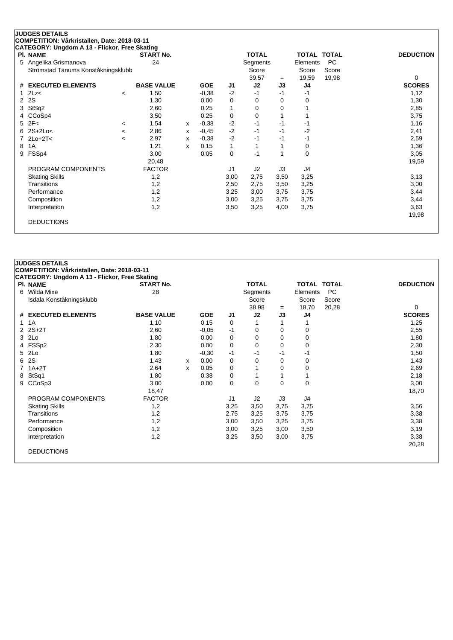| <b>JUDGES DETAILS</b>                         |                          |                   |   |            |              |              |          |                    |           |                  |
|-----------------------------------------------|--------------------------|-------------------|---|------------|--------------|--------------|----------|--------------------|-----------|------------------|
| COMPETITION: Vårkristallen, Date: 2018-03-11  |                          |                   |   |            |              |              |          |                    |           |                  |
| CATEGORY: Ungdom A 13 - Flickor, Free Skating |                          |                   |   |            |              |              |          |                    |           |                  |
| PI. NAME                                      |                          | <b>START No.</b>  |   |            |              | <b>TOTAL</b> |          | <b>TOTAL TOTAL</b> |           | <b>DEDUCTION</b> |
| Angelika Grismanova<br>5                      |                          | 24                |   |            |              | Segments     |          | Elements           | <b>PC</b> |                  |
| Strömstad Tanums Konståkningsklubb            |                          |                   |   |            |              | Score        |          | Score              | Score     |                  |
|                                               |                          |                   |   |            |              | 39,57        | $=$      | 19,59              | 19,98     | 0                |
| <b>EXECUTED ELEMENTS</b><br>#                 |                          | <b>BASE VALUE</b> |   | <b>GOE</b> | J1           | J2           | J3       | J4                 |           | <b>SCORES</b>    |
| 2Lz<                                          | $\prec$                  | 1,50              |   | $-0,38$    | $-2$         | $-1$         | $-1$     | -1                 |           | 1,12             |
| 2S<br>2                                       |                          | 1,30              |   | 0,00       | 0            | 0            | $\Omega$ | 0                  |           | 1,30             |
| StSq2<br>3                                    |                          | 2,60              |   | 0,25       | 1            | 0            | 0        |                    |           | 2,85             |
| CCoSp4<br>4                                   |                          | 3,50              |   | 0,25       | 0            | 0            |          |                    |           | 3,75             |
| 2F<<br>5                                      | $\,<\,$                  | 1,54              | X | $-0,38$    | $-2$         | $-1$         | -1       | -1                 |           | 1,16             |
| $2S+2Lo<$                                     | $\,<\,$                  | 2,86              | x | $-0,45$    | $-2$         | $-1$         | $-1$     | $-2$               |           | 2,41             |
| $2Lo+2T<$                                     | $\overline{\phantom{a}}$ | 2,97              | х | $-0,38$    | $-2$         | $-1$         | -1       | -1                 |           | 2,59             |
| 1A<br>8                                       |                          | 1,21              | X | 0,15       | $\mathbf{1}$ |              |          | 0                  |           | 1,36             |
| FSSp4<br>9                                    |                          | 3,00              |   | 0,05       | 0            | $-1$         |          | $\mathbf 0$        |           | 3,05             |
|                                               |                          | 20,48             |   |            |              |              |          |                    |           | 19,59            |
| PROGRAM COMPONENTS                            |                          | <b>FACTOR</b>     |   |            | J1           | J2           | J3       | J4                 |           |                  |
| <b>Skating Skills</b>                         |                          | 1,2               |   |            | 3,00         | 2,75         | 3,50     | 3,25               |           | 3,13             |
| Transitions                                   |                          | 1,2               |   |            | 2,50         | 2,75         | 3,50     | 3,25               |           | 3,00             |
| Performance                                   |                          | 1,2               |   |            | 3,25         | 3,00         | 3,75     | 3,75               |           | 3,44             |
| Composition                                   |                          | 1,2               |   |            | 3,00         | 3,25         | 3,75     | 3,75               |           | 3,44             |
| Interpretation                                |                          | 1,2               |   |            | 3,50         | 3,25         | 4,00     | 3,75               |           | 3,63             |
|                                               |                          |                   |   |            |              |              |          |                    |           | 19,98            |
| <b>DEDUCTIONS</b>                             |                          |                   |   |            |              |              |          |                    |           |                  |
|                                               |                          |                   |   |            |              |              |          |                    |           |                  |

|   | <b>JUDGES DETAILS</b>                         |                   |   |            |             |              |      |                    |           |                  |
|---|-----------------------------------------------|-------------------|---|------------|-------------|--------------|------|--------------------|-----------|------------------|
|   | COMPETITION: Vårkristallen, Date: 2018-03-11  |                   |   |            |             |              |      |                    |           |                  |
|   | CATEGORY: Ungdom A 13 - Flickor, Free Skating |                   |   |            |             |              |      |                    |           |                  |
|   | PI. NAME                                      | <b>START No.</b>  |   |            |             | <b>TOTAL</b> |      | <b>TOTAL TOTAL</b> |           | <b>DEDUCTION</b> |
| 6 | Wilda Mixe                                    | 28                |   |            |             | Segments     |      | Elements           | <b>PC</b> |                  |
|   | Isdala Konståkningsklubb                      |                   |   |            |             | Score        |      | Score              | Score     |                  |
|   |                                               |                   |   |            |             | 38,98        | $=$  | 18,70              | 20,28     | 0                |
|   | # EXECUTED ELEMENTS                           | <b>BASE VALUE</b> |   | <b>GOE</b> | J1          | J2           | J3   | J4                 |           | <b>SCORES</b>    |
|   | $1 \t1A$                                      | 1,10              |   | 0,15       | 0           |              |      |                    |           | 1,25             |
|   | $2$ $2S+2T$                                   | 2,60              |   | $-0.05$    | $-1$        | 0            | 0    | 0                  |           | 2,55             |
|   | 3 2Lo                                         | 1,80              |   | 0,00       | 0           | 0            | 0    | 0                  |           | 1,80             |
|   | 4 FSSp2                                       | 2,30              |   | 0,00       | 0           | 0            | 0    | 0                  |           | 2,30             |
|   | 5 2Lo                                         | 1,80              |   | $-0,30$    | $-1$        | $-1$         | -1   | -1                 |           | 1,50             |
|   | 6 2S                                          | 1,43              | x | 0,00       | 0           | 0            | 0    | $\Omega$           |           | 1,43             |
|   | $7.1A+2T$                                     | 2,64              | X | 0,05       | $\mathbf 0$ | 1            | 0    | 0                  |           | 2,69             |
|   | 8 StSq1                                       | 1,80              |   | 0,38       | 0           | 1            |      |                    |           | 2,18             |
|   | 9 CCoSp3                                      | 3,00              |   | 0,00       | 0           | 0            | 0    | 0                  |           | 3,00             |
|   |                                               | 18,47             |   |            |             |              |      |                    |           | 18,70            |
|   | PROGRAM COMPONENTS                            | <b>FACTOR</b>     |   |            | J1          | J2           | J3   | J4                 |           |                  |
|   | <b>Skating Skills</b>                         | 1,2               |   |            | 3,25        | 3,50         | 3,75 | 3,75               |           | 3,56             |
|   | Transitions                                   | 1,2               |   |            | 2,75        | 3,25         | 3,75 | 3,75               |           | 3,38             |
|   | Performance                                   | 1,2               |   |            | 3,00        | 3,50         | 3,25 | 3,75               |           | 3,38             |
|   | Composition                                   | 1,2               |   |            | 3,00        | 3,25         | 3,00 | 3,50               |           | 3,19             |
|   | Interpretation                                | 1,2               |   |            | 3,25        | 3,50         | 3,00 | 3,75               |           | 3,38             |
|   |                                               |                   |   |            |             |              |      |                    |           | 20,28            |
|   | <b>DEDUCTIONS</b>                             |                   |   |            |             |              |      |                    |           |                  |
|   |                                               |                   |   |            |             |              |      |                    |           |                  |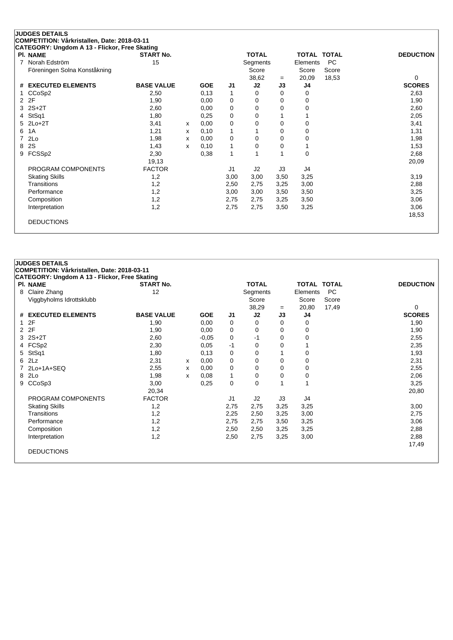| PI. NAME                      | <b>START No.</b>  |   |            |                | <b>TOTAL</b> |           | TOTAL TOTAL |           | <b>DEDUCTION</b>   |
|-------------------------------|-------------------|---|------------|----------------|--------------|-----------|-------------|-----------|--------------------|
| Norah Edström<br>7            | 15                |   |            |                | Segments     |           | Elements    | <b>PC</b> |                    |
| Föreningen Solna Konståkning  |                   |   |            |                | Score        |           | Score       | Score     |                    |
| <b>EXECUTED ELEMENTS</b><br># | <b>BASE VALUE</b> |   | <b>GOE</b> | J <sub>1</sub> | 38,62<br>J2  | $=$<br>J3 | 20,09<br>J4 | 18,53     | 0<br><b>SCORES</b> |
|                               |                   |   |            |                |              |           |             |           |                    |
| CCoSp2                        | 2,50              |   | 0,13       | 1              | 0            | 0         | 0           |           | 2,63               |
| 2F<br>2                       | 1,90              |   | 0,00       | 0              | 0            | 0         | 0           |           | 1,90               |
| $2S+2T$<br>3                  | 2,60              |   | 0,00       | 0              | 0            | 0         | 0           |           | 2,60               |
| StSq1<br>4                    | 1,80              |   | 0,25       | 0              | $\Omega$     |           |             |           | 2,05               |
| $2Lo+2T$<br>5.                | 3,41              | x | 0,00       | 0              | 0            | 0         | 0           |           | 3,41               |
| 1A<br>6                       | 1,21              | х | 0,10       | 1              |              | 0         | 0           |           | 1,31               |
| 2Lo<br>7                      | 1,98              | x | 0,00       | 0              | 0            | 0         | 0           |           | 1,98               |
| 2S<br>8                       | 1,43              | x | 0,10       | 1              | 0            | 0         |             |           | 1,53               |
| FCSSp2<br>9                   | 2,30              |   | 0,38       | 1              |              |           | $\mathbf 0$ |           | 2,68               |
|                               | 19,13             |   |            |                |              |           |             |           | 20,09              |
| PROGRAM COMPONENTS            | <b>FACTOR</b>     |   |            | J <sub>1</sub> | J2           | J3        | J4          |           |                    |
| <b>Skating Skills</b>         | 1,2               |   |            | 3,00           | 3,00         | 3,50      | 3,25        |           | 3,19               |
| Transitions                   | 1,2               |   |            | 2,50           | 2,75         | 3,25      | 3,00        |           | 2,88               |
| Performance                   | 1,2               |   |            | 3,00           | 3,00         | 3,50      | 3,50        |           | 3,25               |
| Composition                   | 1,2               |   |            | 2,75           | 2,75         | 3,25      | 3,50        |           | 3,06               |
| Interpretation                | 1,2               |   |            | 2,75           | 2,75         | 3,50      | 3,25        |           | 3,06               |
|                               |                   |   |            |                |              |           |             |           | 18,53              |

|              | <b>JUDGES DETAILS</b>                         |                   |   |            |                |              |      |                    |           |                  |
|--------------|-----------------------------------------------|-------------------|---|------------|----------------|--------------|------|--------------------|-----------|------------------|
|              | COMPETITION: Vårkristallen, Date: 2018-03-11  |                   |   |            |                |              |      |                    |           |                  |
|              | CATEGORY: Ungdom A 13 - Flickor, Free Skating |                   |   |            |                |              |      |                    |           |                  |
|              | PI. NAME                                      | <b>START No.</b>  |   |            |                | <b>TOTAL</b> |      | <b>TOTAL TOTAL</b> |           | <b>DEDUCTION</b> |
| 8            | Claire Zhang                                  | 12                |   |            |                | Segments     |      | Elements           | <b>PC</b> |                  |
|              | Viggbyholms Idrottsklubb                      |                   |   |            |                | Score        |      | Score              | Score     |                  |
|              |                                               |                   |   |            |                | 38,29        | $=$  | 20,80              | 17,49     | 0                |
|              | # EXECUTED ELEMENTS                           | <b>BASE VALUE</b> |   | <b>GOE</b> | J1             | J2           | J3   | J4                 |           | <b>SCORES</b>    |
| $\mathbf{1}$ | 2F                                            | 1,90              |   | 0,00       | 0              | $\Omega$     | 0    | 0                  |           | 1,90             |
| 2            | 2F                                            | 1,90              |   | 0,00       | 0              | 0            | 0    | 0                  |           | 1,90             |
|              | $3$ $2S+2T$                                   | 2,60              |   | $-0,05$    | 0              | -1           | 0    | 0                  |           | 2,55             |
|              | 4 FCSp2                                       | 2,30              |   | 0.05       | -1             | 0            | 0    |                    |           | 2,35             |
| 5            | StSq1                                         | 1,80              |   | 0,13       | 0              | 0            |      | 0                  |           | 1,93             |
|              | 62Lz                                          | 2,31              | x | 0,00       | 0              | 0            | 0    | 0                  |           | 2,31             |
|              | 7 2Lo+1A+SEQ                                  | 2,55              | х | 0,00       | $\mathbf 0$    | 0            | 0    | 0                  |           | 2,55             |
|              | 8 2Lo                                         | 1,98              | x | 0,08       | 1              | 0            | 0    | 0                  |           | 2,06             |
| 9            | CCoSp3                                        | 3,00              |   | 0,25       | $\mathbf 0$    | 0            |      | 1                  |           | 3,25             |
|              |                                               | 20,34             |   |            |                |              |      |                    |           | 20,80            |
|              | PROGRAM COMPONENTS                            | <b>FACTOR</b>     |   |            | J <sub>1</sub> | J2           | J3   | J4                 |           |                  |
|              | <b>Skating Skills</b>                         | 1,2               |   |            | 2,75           | 2,75         | 3,25 | 3,25               |           | 3,00             |
|              | <b>Transitions</b>                            | 1,2               |   |            | 2,25           | 2,50         | 3,25 | 3,00               |           | 2,75             |
|              | Performance                                   | 1,2               |   |            | 2,75           | 2,75         | 3,50 | 3,25               |           | 3,06             |
|              | Composition                                   | 1,2               |   |            | 2,50           | 2,50         | 3,25 | 3,25               |           | 2,88             |
|              | Interpretation                                | 1,2               |   |            | 2,50           | 2,75         | 3,25 | 3,00               |           | 2,88             |
|              |                                               |                   |   |            |                |              |      |                    |           | 17,49            |
|              | <b>DEDUCTIONS</b>                             |                   |   |            |                |              |      |                    |           |                  |
|              |                                               |                   |   |            |                |              |      |                    |           |                  |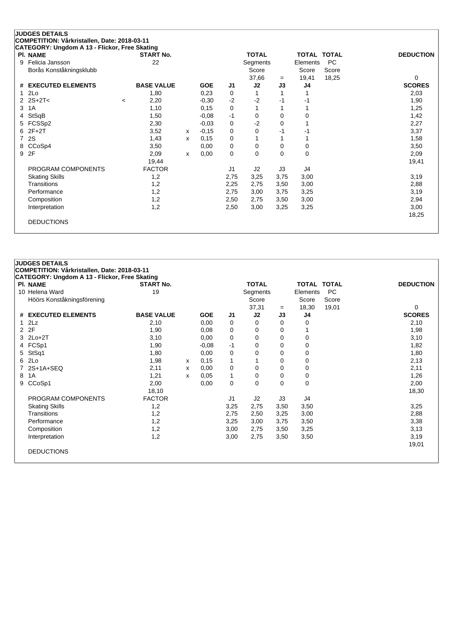| PI. NAME                      | CATEGORY: Ungdom A 13 - Flickor, Free Skating | <b>START No.</b>  |   |            |                | <b>TOTAL</b> |          |          | TOTAL TOTAL | <b>DEDUCTION</b> |
|-------------------------------|-----------------------------------------------|-------------------|---|------------|----------------|--------------|----------|----------|-------------|------------------|
| Felicia Jansson<br>9          |                                               | 22                |   |            |                | Segments     |          | Elements | <b>PC</b>   |                  |
| Borås Konståkningsklubb       |                                               |                   |   |            |                | Score        |          | Score    | Score       |                  |
|                               |                                               |                   |   |            |                | 37,66        | $=$      | 19,41    | 18,25       | 0                |
| <b>EXECUTED ELEMENTS</b><br># |                                               | <b>BASE VALUE</b> |   | <b>GOE</b> | J <sub>1</sub> | J2           | J3       | J4       |             | <b>SCORES</b>    |
| 2Lo<br>1                      |                                               | 1,80              |   | 0,23       | 0              |              |          |          |             | 2,03             |
| 2 $2S+2T<$                    | $\,<\,$                                       | 2,20              |   | $-0,30$    | $-2$           | $-2$         | -1       | -1       |             | 1,90             |
| 1A<br>3                       |                                               | 1,10              |   | 0,15       | 0              |              |          |          |             | 1,25             |
| StSqB<br>4                    |                                               | 1,50              |   | $-0,08$    | $-1$           | 0            | $\Omega$ | 0        |             | 1,42             |
| FCSSp2<br>5.                  |                                               | 2,30              |   | $-0.03$    | 0              | $-2$         | $\Omega$ |          |             | 2,27             |
| $2F+2T$<br>6                  |                                               | 3,52              | x | $-0,15$    | 0              | 0            | -1       | -1       |             | 3,37             |
| 2S<br>7                       |                                               | 1,43              | x | 0,15       | 0              |              |          |          |             | 1,58             |
| CCoSp4<br>8                   |                                               | 3,50              |   | 0,00       | 0              | 0            | 0        | 0        |             | 3,50             |
| 2F<br>9                       |                                               | 2,09              | x | 0,00       | $\mathbf 0$    | $\Omega$     | $\Omega$ | $\Omega$ |             | 2,09             |
|                               |                                               | 19,44             |   |            |                |              |          |          |             | 19,41            |
| PROGRAM COMPONENTS            |                                               | <b>FACTOR</b>     |   |            | J1             | J2           | J3       | J4       |             |                  |
| <b>Skating Skills</b>         |                                               | 1,2               |   |            | 2,75           | 3,25         | 3,75     | 3,00     |             | 3,19             |
| Transitions                   |                                               | 1,2               |   |            | 2,25           | 2,75         | 3,50     | 3,00     |             | 2,88             |
| Performance                   |                                               | 1,2               |   |            | 2,75           | 3,00         | 3,75     | 3,25     |             | 3,19             |
| Composition                   |                                               | 1,2               |   |            | 2,50           | 2,75         | 3,50     | 3,00     |             | 2,94             |
| Interpretation                |                                               | 1,2               |   |            | 2,50           | 3,00         | 3,25     | 3,25     |             | 3,00             |
|                               |                                               |                   |   |            |                |              |          |          |             | 18,25            |

|                | <b>JUDGES DETAILS</b>                         |                   |   |            |                |              |          |                    |           |                  |
|----------------|-----------------------------------------------|-------------------|---|------------|----------------|--------------|----------|--------------------|-----------|------------------|
|                | COMPETITION: Vårkristallen, Date: 2018-03-11  |                   |   |            |                |              |          |                    |           |                  |
|                | CATEGORY: Ungdom A 13 - Flickor, Free Skating |                   |   |            |                |              |          |                    |           |                  |
|                | <b>PI. NAME</b>                               | <b>START No.</b>  |   |            |                | <b>TOTAL</b> |          | <b>TOTAL TOTAL</b> |           | <b>DEDUCTION</b> |
|                | 10 Helena Ward                                | 19                |   |            |                | Segments     |          | Elements           | <b>PC</b> |                  |
|                | Höörs Konståkningsförening                    |                   |   |            |                | Score        |          | Score              | Score     |                  |
|                |                                               |                   |   |            |                | 37,31        | $=$      | 18,30              | 19,01     | 0                |
|                | # EXECUTED ELEMENTS                           | <b>BASE VALUE</b> |   | <b>GOE</b> | J1             | J2           | J3       | J4                 |           | <b>SCORES</b>    |
| $\mathbf{1}$   | 2Lz                                           | 2,10              |   | 0.00       | 0              | 0            | 0        | 0                  |           | 2,10             |
| $\overline{2}$ | 2F                                            | 1,90              |   | 0,08       | 0              | 0            | $\Omega$ |                    |           | 1,98             |
|                | 3 2Lo+2T                                      | 3,10              |   | 0,00       | 0              | 0            | 0        | 0                  |           | 3,10             |
|                | 4 FCSp1                                       | 1,90              |   | $-0.08$    | $-1$           | 0            | 0        | 0                  |           | 1,82             |
| 5              | StSq1                                         | 1,80              |   | 0,00       | 0              | 0            | 0        | 0                  |           | 1,80             |
|                | 6 2Lo                                         | 1,98              | x | 0,15       | 1              | 1            | 0        | 0                  |           | 2,13             |
|                | $2S+1A+SEQ$                                   | 2,11              | X | 0,00       | $\mathbf 0$    | 0            | 0        | 0                  |           | 2,11             |
| 8              | 1A                                            | 1,21              | x | 0.05       | 1              | 0            | 0        | 0                  |           | 1,26             |
| 9              | CCoSp1                                        | 2,00              |   | 0,00       | 0              | $\mathbf 0$  | $\Omega$ | 0                  |           | 2,00             |
|                |                                               | 18,10             |   |            |                |              |          |                    |           | 18,30            |
|                | PROGRAM COMPONENTS                            | <b>FACTOR</b>     |   |            | J <sub>1</sub> | J2           | J3       | J4                 |           |                  |
|                | <b>Skating Skills</b>                         | 1,2               |   |            | 3,25           | 2,75         | 3,50     | 3,50               |           | 3,25             |
|                | Transitions                                   | 1,2               |   |            | 2,75           | 2,50         | 3,25     | 3,00               |           | 2,88             |
|                | Performance                                   | 1,2               |   |            | 3,25           | 3,00         | 3,75     | 3,50               |           | 3,38             |
|                | Composition                                   | 1,2               |   |            | 3,00           | 2,75         | 3,50     | 3,25               |           | 3,13             |
|                | Interpretation                                | 1,2               |   |            | 3,00           | 2,75         | 3,50     | 3,50               |           | 3,19             |
|                |                                               |                   |   |            |                |              |          |                    |           | 19,01            |
|                | <b>DEDUCTIONS</b>                             |                   |   |            |                |              |          |                    |           |                  |
|                |                                               |                   |   |            |                |              |          |                    |           |                  |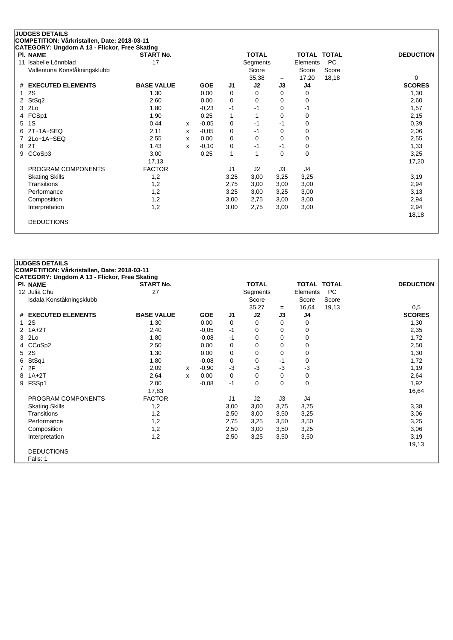| <b>PI. NAME</b>               | <b>START No.</b>  |   |            |                | <b>TOTAL</b> |          | <b>TOTAL TOTAL</b> |           | <b>DEDUCTION</b> |
|-------------------------------|-------------------|---|------------|----------------|--------------|----------|--------------------|-----------|------------------|
| Isabelle Lönnblad<br>11       | 17                |   |            |                | Segments     |          | Elements           | <b>PC</b> |                  |
| Vallentuna Konståkningsklubb  |                   |   |            |                | Score        |          | Score              | Score     |                  |
|                               |                   |   |            |                | 35,38        | $=$      | 17,20              | 18,18     | $\Omega$         |
| <b>EXECUTED ELEMENTS</b><br># | <b>BASE VALUE</b> |   | <b>GOE</b> | J1             | J2           | J3       | J4                 |           | <b>SCORES</b>    |
| 2S                            | 1,30              |   | 0,00       | 0              | 0            | $\Omega$ | 0                  |           | 1,30             |
| StSq2                         | 2,60              |   | 0.00       | 0              | 0            | 0        | 0                  |           | 2,60             |
| 2Lo<br>3                      | 1,80              |   | $-0,23$    | -1             | -1           | 0        | -1                 |           | 1,57             |
| FCSp1<br>4                    | 1,90              |   | 0,25       | 1              |              | 0        | 0                  |           | 2,15             |
| 1S<br>5                       | 0,44              | x | $-0.05$    | 0              | $-1$         | $-1$     | 0                  |           | 0,39             |
| $2T+1A+SEQ$<br>6              | 2,11              | х | $-0,05$    | 0              | -1           | $\Omega$ | 0                  |           | 2,06             |
| 2Lo+1A+SEQ                    | 2,55              | х | 0,00       | 0              | 0            | $\Omega$ | 0                  |           | 2,55             |
| 2T<br>8                       | 1,43              | X | $-0,10$    | 0              | -1           | $-1$     | 0                  |           | 1,33             |
| CCoSp3<br>9                   | 3,00              |   | 0,25       | 1              |              | $\Omega$ | 0                  |           | 3,25             |
|                               | 17,13             |   |            |                |              |          |                    |           | 17,20            |
| PROGRAM COMPONENTS            | <b>FACTOR</b>     |   |            | J <sub>1</sub> | J2           | J3       | J4                 |           |                  |
| <b>Skating Skills</b>         | 1,2               |   |            | 3,25           | 3,00         | 3,25     | 3,25               |           | 3,19             |
| Transitions                   | 1,2               |   |            | 2,75           | 3,00         | 3,00     | 3,00               |           | 2,94             |
| Performance                   | 1,2               |   |            | 3,25           | 3,00         | 3,25     | 3,00               |           | 3,13             |
| Composition                   | 1,2               |   |            | 3,00           | 2,75         | 3,00     | 3,00               |           | 2,94             |
| Interpretation                | 1,2               |   |            | 3,00           | 2,75         | 3,00     | 3,00               |           | 2,94             |
|                               |                   |   |            |                |              |          |                    |           | 18,18            |

|                | <b>JUDGES DETAILS</b>                                |                   |   |            |      |              |          |                    |           |                  |
|----------------|------------------------------------------------------|-------------------|---|------------|------|--------------|----------|--------------------|-----------|------------------|
|                | COMPETITION: Vårkristallen, Date: 2018-03-11         |                   |   |            |      |              |          |                    |           |                  |
|                | <b>CATEGORY: Ungdom A 13 - Flickor, Free Skating</b> |                   |   |            |      |              |          |                    |           |                  |
|                | PI. NAME                                             | <b>START No.</b>  |   |            |      | <b>TOTAL</b> |          | <b>TOTAL TOTAL</b> |           | <b>DEDUCTION</b> |
|                | 12 Julia Chu                                         | 27                |   |            |      | Segments     |          | Elements           | <b>PC</b> |                  |
|                | Isdala Konståkningsklubb                             |                   |   |            |      | Score        |          | Score              | Score     |                  |
|                |                                                      |                   |   |            |      | 35,27        | $=$      | 16,64              | 19,13     | 0,5              |
| #              | <b>EXECUTED ELEMENTS</b>                             | <b>BASE VALUE</b> |   | <b>GOE</b> | J1   | J2           | J3       | J4                 |           | <b>SCORES</b>    |
| $\mathbf{1}$   | 2S                                                   | 1,30              |   | 0,00       | 0    | 0            | 0        | 0                  |           | 1,30             |
|                | $2$ 1A+2T                                            | 2,40              |   | $-0,05$    | $-1$ | 0            | 0        | 0                  |           | 2,35             |
| 3              | 2Lo                                                  | 1,80              |   | $-0.08$    | -1   | 0            | 0        | 0                  |           | 1,72             |
| 4              | CCoSp2                                               | 2,50              |   | 0,00       | 0    | 0            | 0        | 0                  |           | 2,50             |
| 5              | 2S                                                   | 1,30              |   | 0,00       | 0    | 0            | 0        | 0                  |           | 1,30             |
| 6              | StSq1                                                | 1,80              |   | $-0,08$    | 0    | 0            | -1       | 0                  |           | 1,72             |
| $\overline{7}$ | 2F                                                   | 2,09              | x | $-0.90$    | -3   | $-3$         | $-3$     | -3                 |           | 1,19             |
| 8              | $1A+2T$                                              | 2,64              | x | 0,00       | 0    | 0            | $\Omega$ | 0                  |           | 2,64             |
| 9              | FSSp1                                                | 2,00              |   | $-0,08$    | $-1$ | 0            | 0        | 0                  |           | 1,92             |
|                |                                                      | 17,83             |   |            |      |              |          |                    |           | 16,64            |
|                | PROGRAM COMPONENTS                                   | <b>FACTOR</b>     |   |            | J1   | J2           | J3       | J4                 |           |                  |
|                | <b>Skating Skills</b>                                | 1,2               |   |            | 3,00 | 3,00         | 3,75     | 3,75               |           | 3,38             |
|                | Transitions                                          | 1,2               |   |            | 2,50 | 3,00         | 3,50     | 3,25               |           | 3,06             |
|                | Performance                                          | 1,2               |   |            | 2,75 | 3,25         | 3,50     | 3,50               |           | 3,25             |
|                | Composition                                          | 1,2               |   |            | 2,50 | 3,00         | 3,50     | 3,25               |           | 3,06             |
|                | Interpretation                                       | 1,2               |   |            | 2,50 | 3,25         | 3,50     | 3,50               |           | 3,19             |
|                |                                                      |                   |   |            |      |              |          |                    |           | 19,13            |
|                | <b>DEDUCTIONS</b>                                    |                   |   |            |      |              |          |                    |           |                  |
|                | Falls: 1                                             |                   |   |            |      |              |          |                    |           |                  |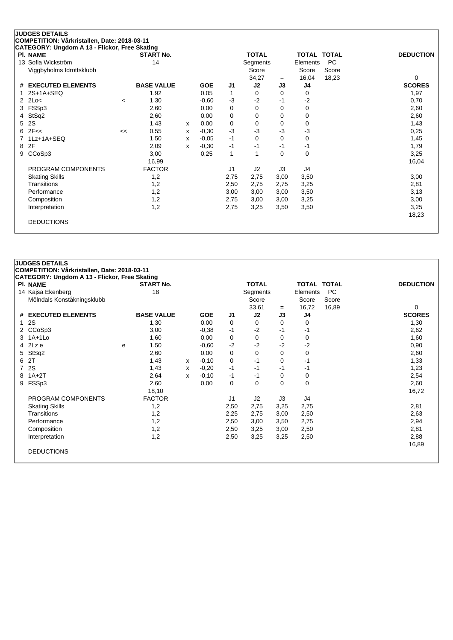| <b>PI. NAME</b>               |         | <b>START No.</b>  |   |            |                | <b>TOTAL</b> |          | <b>TOTAL TOTAL</b> |           | <b>DEDUCTION</b> |
|-------------------------------|---------|-------------------|---|------------|----------------|--------------|----------|--------------------|-----------|------------------|
| 13 Sofia Wickström            |         | 14                |   |            |                | Segments     |          | Elements           | <b>PC</b> |                  |
| Viggbyholms Idrottsklubb      |         |                   |   |            |                | Score        |          | Score              | Score     |                  |
|                               |         |                   |   |            |                | 34,27        | $=$      | 16,04              | 18,23     | $\Omega$         |
| <b>EXECUTED ELEMENTS</b><br># |         | <b>BASE VALUE</b> |   | <b>GOE</b> | J <sub>1</sub> | J2           | J3       | J4                 |           | <b>SCORES</b>    |
| $2S+1A+SEQ$                   |         | 1,92              |   | 0,05       | 1              | $\Omega$     | 0        | 0                  |           | 1,97             |
| 2Lo<<br>2.                    | $\,<\,$ | 1,30              |   | $-0.60$    | $-3$           | $-2$         | $-1$     | $-2$               |           | 0,70             |
| FSSp3<br>3                    |         | 2,60              |   | 0,00       | 0              | 0            | 0        | 0                  |           | 2,60             |
| StSq2<br>4                    |         | 2,60              |   | 0,00       | 0              | 0            | 0        | 0                  |           | 2,60             |
| 2S<br>5.                      |         | 1,43              | x | 0,00       | 0              | 0            | 0        | 0                  |           | 1,43             |
| 2F <<br>6                     | <<      | 0,55              | x | $-0,30$    | $-3$           | $-3$         | -3       | $-3$               |           | 0,25             |
| 1Lz+1A+SEQ                    |         | 1,50              | X | $-0.05$    | $-1$           | 0            | 0        | 0                  |           | 1,45             |
| 2F<br>8                       |         | 2,09              | x | $-0,30$    | $-1$           | -1           | $-1$     | -1                 |           | 1,79             |
| CCoSp3<br>9                   |         | 3,00              |   | 0,25       | 1              |              | $\Omega$ | 0                  |           | 3,25             |
|                               |         | 16,99             |   |            |                |              |          |                    |           | 16,04            |
| PROGRAM COMPONENTS            |         | <b>FACTOR</b>     |   |            | J1             | J2           | J3       | J4                 |           |                  |
| <b>Skating Skills</b>         |         | 1,2               |   |            | 2,75           | 2,75         | 3,00     | 3,50               |           | 3,00             |
| Transitions                   |         | 1,2               |   |            | 2,50           | 2,75         | 2,75     | 3,25               |           | 2,81             |
| Performance                   |         | 1,2               |   |            | 3,00           | 3,00         | 3,00     | 3,50               |           | 3,13             |
| Composition                   |         | 1,2               |   |            | 2,75           | 3,00         | 3,00     | 3,25               |           | 3,00             |
| Interpretation                |         | 1,2               |   |            | 2,75           | 3,25         | 3,50     | 3,50               |           | 3,25             |
|                               |         |                   |   |            |                |              |          |                    |           | 18,23            |

|                | <b>JUDGES DETAILS</b>                         |   |                   |   |            |                |                |      |                    |           |                  |
|----------------|-----------------------------------------------|---|-------------------|---|------------|----------------|----------------|------|--------------------|-----------|------------------|
|                | COMPETITION: Vårkristallen, Date: 2018-03-11  |   |                   |   |            |                |                |      |                    |           |                  |
|                | CATEGORY: Ungdom A 13 - Flickor, Free Skating |   |                   |   |            |                |                |      |                    |           |                  |
|                | <b>PI. NAME</b>                               |   | <b>START No.</b>  |   |            |                | <b>TOTAL</b>   |      | <b>TOTAL TOTAL</b> |           | <b>DEDUCTION</b> |
|                | 14 Kajsa Ekenberg                             |   | 18                |   |            |                | Segments       |      | Elements           | <b>PC</b> |                  |
|                | Mölndals Konståkningsklubb                    |   |                   |   |            |                | Score          |      | Score              | Score     |                  |
|                |                                               |   |                   |   |            |                | 33,61          | $=$  | 16,72              | 16,89     | 0                |
| #              | <b>EXECUTED ELEMENTS</b>                      |   | <b>BASE VALUE</b> |   | <b>GOE</b> | J1             | J <sub>2</sub> | J3   | J4                 |           | <b>SCORES</b>    |
| $\mathbf{1}$   | 2S                                            |   | 1,30              |   | 0.00       | 0              | 0              | 0    | 0                  |           | 1,30             |
|                | CCoSp3                                        |   | 3,00              |   | $-0.38$    | $-1$           | $-2$           | -1   | -1                 |           | 2,62             |
|                | 3 1A+1Lo                                      |   | 1,60              |   | 0,00       | 0              | 0              | 0    | 0                  |           | 1,60             |
| 4              | 2Lz e                                         | e | 1,50              |   | $-0.60$    | $-2$           | $-2$           | $-2$ | $-2$               |           | 0,90             |
| 5              | StSq2                                         |   | 2,60              |   | 0,00       | 0              | 0              | 0    | 0                  |           | 2,60             |
| 6              | 2T                                            |   | 1,43              | x | $-0,10$    | 0              | $-1$           | 0    | $-1$               |           | 1,33             |
| $\overline{7}$ | 2S                                            |   | 1,43              | X | $-0,20$    | $-1$           | -1             | -1   | $-1$               |           | 1,23             |
| 8              | $1A+2T$                                       |   | 2,64              | X | $-0,10$    | $-1$           | -1             | 0    | 0                  |           | 2,54             |
| 9              | FSSp3                                         |   | 2,60              |   | 0,00       | 0              | 0              | 0    | 0                  |           | 2,60             |
|                |                                               |   | 18,10             |   |            |                |                |      |                    |           | 16,72            |
|                | PROGRAM COMPONENTS                            |   | <b>FACTOR</b>     |   |            | J <sub>1</sub> | J2             | J3   | J4                 |           |                  |
|                | <b>Skating Skills</b>                         |   | 1,2               |   |            | 2,50           | 2,75           | 3,25 | 2,75               |           | 2,81             |
|                | Transitions                                   |   | 1,2               |   |            | 2,25           | 2,75           | 3,00 | 2,50               |           | 2,63             |
|                | Performance                                   |   | 1,2               |   |            | 2,50           | 3,00           | 3,50 | 2,75               |           | 2,94             |
|                | Composition                                   |   | 1,2               |   |            | 2,50           | 3,25           | 3,00 | 2,50               |           | 2,81             |
|                | Interpretation                                |   | 1,2               |   |            | 2,50           | 3,25           | 3,25 | 2,50               |           | 2,88             |
|                |                                               |   |                   |   |            |                |                |      |                    |           | 16,89            |
|                | <b>DEDUCTIONS</b>                             |   |                   |   |            |                |                |      |                    |           |                  |
|                |                                               |   |                   |   |            |                |                |      |                    |           |                  |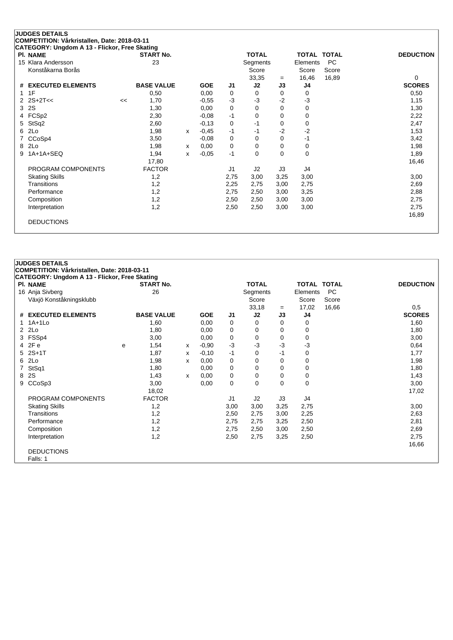|   | <b>JUDGES DETAILS</b>                         |    |                   |   |            |                |              |          |                    |           |                  |
|---|-----------------------------------------------|----|-------------------|---|------------|----------------|--------------|----------|--------------------|-----------|------------------|
|   | COMPETITION: Vårkristallen, Date: 2018-03-11  |    |                   |   |            |                |              |          |                    |           |                  |
|   | CATEGORY: Ungdom A 13 - Flickor, Free Skating |    |                   |   |            |                |              |          |                    |           |                  |
|   | PI. NAME                                      |    | <b>START No.</b>  |   |            |                | <b>TOTAL</b> |          | <b>TOTAL TOTAL</b> |           | <b>DEDUCTION</b> |
|   | 15 Klara Andersson                            |    | 23                |   |            |                | Segments     |          | Elements           | <b>PC</b> |                  |
|   | Konståkarna Borås                             |    |                   |   |            |                | Score        |          | Score              | Score     |                  |
|   |                                               |    |                   |   |            |                | 33,35        | $=$      | 16,46              | 16,89     | 0                |
| # | <b>EXECUTED ELEMENTS</b>                      |    | <b>BASE VALUE</b> |   | <b>GOE</b> | J1             | J2           | J3       | J4                 |           | <b>SCORES</b>    |
| 1 | 1F                                            |    | 0,50              |   | 0,00       | 0              | 0            | $\Omega$ | 0                  |           | 0,50             |
|   | $2S+2T<<$                                     | << | 1,70              |   | $-0,55$    | $-3$           | $-3$         | $-2$     | $-3$               |           | 1,15             |
| 3 | 2S                                            |    | 1,30              |   | 0,00       | 0              | $\Omega$     | 0        | 0                  |           | 1,30             |
| 4 | FCSp2                                         |    | 2,30              |   | $-0,08$    | -1             | 0            | 0        | 0                  |           | 2,22             |
| 5 | StSq2                                         |    | 2,60              |   | $-0,13$    | 0              | $-1$         | 0        | 0                  |           | 2,47             |
| 6 | 2Lo                                           |    | 1,98              | X | $-0,45$    | $-1$           | -1           | $-2$     | $-2$               |           | 1,53             |
|   | CCoSp4                                        |    | 3,50              |   | $-0,08$    | 0              | 0            | 0        | $-1$               |           | 3,42             |
| 8 | 2Lo                                           |    | 1,98              | x | 0,00       | 0              | 0            | 0        | 0                  |           | 1,98             |
| 9 | 1A+1A+SEQ                                     |    | 1,94              | x | $-0,05$    | $-1$           | 0            | $\Omega$ | 0                  |           | 1,89             |
|   |                                               |    | 17,80             |   |            |                |              |          |                    |           | 16,46            |
|   | PROGRAM COMPONENTS                            |    | <b>FACTOR</b>     |   |            | J <sub>1</sub> | J2           | J3       | J4                 |           |                  |
|   | <b>Skating Skills</b>                         |    | 1,2               |   |            | 2,75           | 3,00         | 3,25     | 3,00               |           | 3,00             |
|   | Transitions                                   |    | 1,2               |   |            | 2,25           | 2,75         | 3,00     | 2,75               |           | 2,69             |
|   | Performance                                   |    | 1,2               |   |            | 2,75           | 2,50         | 3,00     | 3,25               |           | 2,88             |
|   | Composition                                   |    | 1,2               |   |            | 2,50           | 2,50         | 3,00     | 3,00               |           | 2,75             |
|   | Interpretation                                |    | 1,2               |   |            | 2,50           | 2,50         | 3,00     | 3,00               |           | 2,75             |
|   |                                               |    |                   |   |            |                |              |          |                    |           | 16,89            |
|   | <b>DEDUCTIONS</b>                             |    |                   |   |            |                |              |          |                    |           |                  |
|   |                                               |    |                   |   |            |                |              |          |                    |           |                  |

|   | <b>JUDGES DETAILS</b>                         |   |                   |   |            |                |              |      |                    |       |                  |
|---|-----------------------------------------------|---|-------------------|---|------------|----------------|--------------|------|--------------------|-------|------------------|
|   | COMPETITION: Vårkristallen, Date: 2018-03-11  |   |                   |   |            |                |              |      |                    |       |                  |
|   | CATEGORY: Ungdom A 13 - Flickor, Free Skating |   |                   |   |            |                |              |      |                    |       |                  |
|   | <b>PI. NAME</b>                               |   | <b>START No.</b>  |   |            |                | <b>TOTAL</b> |      | <b>TOTAL TOTAL</b> |       | <b>DEDUCTION</b> |
|   | 16 Anja Sivberg                               |   | 26                |   |            |                | Segments     |      | Elements           | PC    |                  |
|   | Växjö Konståkningsklubb                       |   |                   |   |            |                | Score        |      | Score              | Score |                  |
|   |                                               |   |                   |   |            |                | 33,18        | $=$  | 17,02              | 16,66 | 0,5              |
|   | # EXECUTED ELEMENTS                           |   | <b>BASE VALUE</b> |   | <b>GOE</b> | J1             | J2           | J3   | J4                 |       | <b>SCORES</b>    |
|   | $1.1A+1L0$                                    |   | 1,60              |   | 0,00       | 0              | 0            | 0    | 0                  |       | 1,60             |
|   | 2 2Lo                                         |   | 1,80              |   | 0,00       | 0              | 0            | 0    | 0                  |       | 1,80             |
| 3 | FSSp4                                         |   | 3,00              |   | 0,00       | 0              | 0            | 0    | 0                  |       | 3,00             |
|   | 4 2Fe                                         | e | 1,54              | х | $-0,90$    | $-3$           | $-3$         | $-3$ | -3                 |       | 0,64             |
| 5 | $2S+1T$                                       |   | 1,87              | X | $-0,10$    | $-1$           | 0            | $-1$ | 0                  |       | 1,77             |
| 6 | 2Lo                                           |   | 1,98              | x | 0,00       | 0              | 0            | 0    | 0                  |       | 1,98             |
|   | StSq1                                         |   | 1,80              |   | 0,00       | 0              | 0            | 0    | 0                  |       | 1,80             |
| 8 | 2S                                            |   | 1,43              | X | 0,00       | $\mathbf 0$    | 0            | 0    | 0                  |       | 1,43             |
| 9 | CCoSp3                                        |   | 3,00              |   | 0,00       | 0              | 0            | 0    | 0                  |       | 3,00             |
|   |                                               |   | 18,02             |   |            |                |              |      |                    |       | 17,02            |
|   | PROGRAM COMPONENTS                            |   | <b>FACTOR</b>     |   |            | J <sub>1</sub> | J2           | J3   | J4                 |       |                  |
|   | <b>Skating Skills</b>                         |   | 1,2               |   |            | 3,00           | 3,00         | 3,25 | 2,75               |       | 3,00             |
|   | Transitions                                   |   | 1,2               |   |            | 2,50           | 2,75         | 3,00 | 2,25               |       | 2,63             |
|   | Performance                                   |   | 1,2               |   |            | 2,75           | 2,75         | 3,25 | 2,50               |       | 2,81             |
|   | Composition                                   |   | 1,2               |   |            | 2,75           | 2,50         | 3,00 | 2,50               |       | 2,69             |
|   | Interpretation                                |   | 1,2               |   |            | 2,50           | 2,75         | 3,25 | 2,50               |       | 2,75             |
|   |                                               |   |                   |   |            |                |              |      |                    |       | 16,66            |
|   | <b>DEDUCTIONS</b>                             |   |                   |   |            |                |              |      |                    |       |                  |
|   | Falls: 1                                      |   |                   |   |            |                |              |      |                    |       |                  |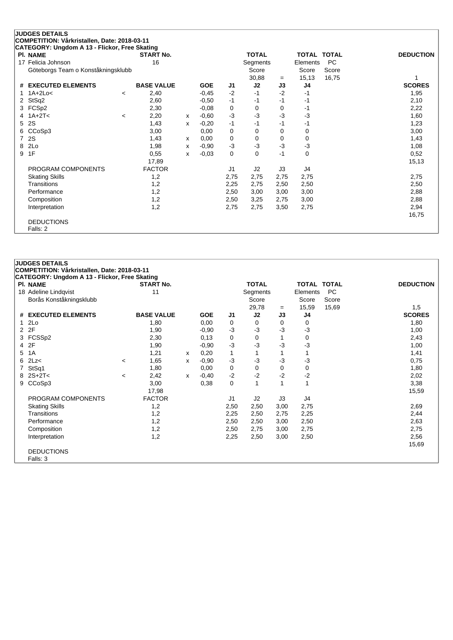|   | <b>JUDGES DETAILS</b>                         |         |                   |   |            |                |              |      |                    |       |                  |
|---|-----------------------------------------------|---------|-------------------|---|------------|----------------|--------------|------|--------------------|-------|------------------|
|   | COMPETITION: Vårkristallen, Date: 2018-03-11  |         |                   |   |            |                |              |      |                    |       |                  |
|   | CATEGORY: Ungdom A 13 - Flickor, Free Skating |         |                   |   |            |                |              |      |                    |       |                  |
|   | <b>PI. NAME</b>                               |         | <b>START No.</b>  |   |            |                | <b>TOTAL</b> |      | <b>TOTAL TOTAL</b> |       | <b>DEDUCTION</b> |
|   | 17 Felicia Johnson                            |         | 16                |   |            |                | Segments     |      | Elements           | PC    |                  |
|   | Göteborgs Team o Konståkningsklubb            |         |                   |   |            |                | Score        |      | Score              | Score |                  |
|   |                                               |         |                   |   |            |                | 30,88        | $=$  | 15, 13             | 16,75 |                  |
| # | <b>EXECUTED ELEMENTS</b>                      |         | <b>BASE VALUE</b> |   | <b>GOE</b> | J <sub>1</sub> | J2           | J3   | J4                 |       | <b>SCORES</b>    |
|   | $1A+2Lo<$                                     | $\prec$ | 2,40              |   | $-0,45$    | $-2$           | $-1$         | $-2$ | -1                 |       | 1,95             |
| 2 | StSq2                                         |         | 2,60              |   | $-0.50$    | $-1$           | -1           | -1   | -1                 |       | 2,10             |
| 3 | FCSp2                                         |         | 2,30              |   | $-0,08$    | 0              | 0            | 0    | -1                 |       | 2,22             |
|   | $1A+2T<$                                      | $\prec$ | 2,20              | х | $-0.60$    | $-3$           | $-3$         | $-3$ | $-3$               |       | 1,60             |
| 5 | 2S                                            |         | 1,43              | x | $-0,20$    | $-1$           | $-1$         | $-1$ | -1                 |       | 1,23             |
| 6 | CCoSp3                                        |         | 3,00              |   | 0,00       | 0              | 0            | 0    | $\mathbf 0$        |       | 3,00             |
| 7 | 2S                                            |         | 1,43              | x | 0,00       | 0              | 0            | 0    | 0                  |       | 1,43             |
| 8 | 2Lo                                           |         | 1,98              | X | $-0.90$    | $-3$           | $-3$         | $-3$ | $-3$               |       | 1,08             |
| 9 | 1F                                            |         | 0,55              | x | $-0,03$    | 0              | 0            | $-1$ | 0                  |       | 0,52             |
|   |                                               |         | 17,89             |   |            |                |              |      |                    |       | 15,13            |
|   | PROGRAM COMPONENTS                            |         | <b>FACTOR</b>     |   |            | J <sub>1</sub> | J2           | J3   | J4                 |       |                  |
|   | <b>Skating Skills</b>                         |         | 1,2               |   |            | 2,75           | 2,75         | 2,75 | 2,75               |       | 2,75             |
|   | Transitions                                   |         | 1,2               |   |            | 2,25           | 2,75         | 2,50 | 2,50               |       | 2,50             |
|   | Performance                                   |         | 1,2               |   |            | 2,50           | 3,00         | 3,00 | 3,00               |       | 2,88             |
|   | Composition                                   |         | 1,2               |   |            | 2,50           | 3,25         | 2,75 | 3,00               |       | 2,88             |
|   | Interpretation                                |         | 1,2               |   |            | 2,75           | 2,75         | 3,50 | 2,75               |       | 2,94             |
|   |                                               |         |                   |   |            |                |              |      |                    |       | 16,75            |
|   | <b>DEDUCTIONS</b>                             |         |                   |   |            |                |              |      |                    |       |                  |
|   | Falls: 2                                      |         |                   |   |            |                |              |      |                    |       |                  |

|                | <b>JUDGES DETAILS</b>                         |                |                   |   |            |                |              |      |                    |           |                  |
|----------------|-----------------------------------------------|----------------|-------------------|---|------------|----------------|--------------|------|--------------------|-----------|------------------|
|                | COMPETITION: Vårkristallen, Date: 2018-03-11  |                |                   |   |            |                |              |      |                    |           |                  |
|                | CATEGORY: Ungdom A 13 - Flickor, Free Skating |                |                   |   |            |                |              |      |                    |           |                  |
|                | <b>PI. NAME</b>                               |                | <b>START No.</b>  |   |            |                | <b>TOTAL</b> |      | <b>TOTAL TOTAL</b> |           | <b>DEDUCTION</b> |
|                | 18 Adeline Lindqvist                          |                | 11                |   |            |                | Segments     |      | Elements           | <b>PC</b> |                  |
|                | Borås Konståkningsklubb                       |                |                   |   |            |                | Score        |      | Score              | Score     |                  |
|                |                                               |                |                   |   |            |                | 29,78        | $=$  | 15,59              | 15,69     | 1,5              |
| #              | <b>EXECUTED ELEMENTS</b>                      |                | <b>BASE VALUE</b> |   | <b>GOE</b> | J <sub>1</sub> | J2           | J3   | J4                 |           | <b>SCORES</b>    |
| $\mathbf{1}$   | 2Lo                                           |                | 1,80              |   | 0,00       | 0              | $\Omega$     | 0    | 0                  |           | 1,80             |
| $\overline{2}$ | 2F                                            |                | 1,90              |   | $-0,90$    | $-3$           | $-3$         | $-3$ | -3                 |           | 1,00             |
|                | 3 FCSSp2                                      |                | 2,30              |   | 0,13       | 0              | 0            | 1    | 0                  |           | 2,43             |
| $\overline{4}$ | 2F                                            |                | 1,90              |   | $-0,90$    | $-3$           | $-3$         | -3   | -3                 |           | 1,00             |
| 5              | 1A                                            |                | 1,21              | x | 0,20       | 1              | 1            |      |                    |           | 1,41             |
| 6              | 2Lz<                                          | $\,<$          | 1,65              | x | $-0.90$    | $-3$           | $-3$         | -3   | -3                 |           | 0,75             |
|                | StSq1                                         |                | 1,80              |   | 0.00       | 0              | 0            | 0    | 0                  |           | 1,80             |
| 8              | $2S+2T<$                                      | $\overline{a}$ | 2,42              | x | $-0,40$    | $-2$           | $-2$         | $-2$ | $-2$               |           | 2,02             |
| 9              | CCoSp3                                        |                | 3,00              |   | 0,38       | 0              | 1            | 1    | 1                  |           | 3,38             |
|                |                                               |                | 17,98             |   |            |                |              |      |                    |           | 15,59            |
|                | PROGRAM COMPONENTS                            |                | <b>FACTOR</b>     |   |            | J1             | J2           | J3   | J4                 |           |                  |
|                | <b>Skating Skills</b>                         |                | 1,2               |   |            | 2,50           | 2,50         | 3,00 | 2,75               |           | 2,69             |
|                | Transitions                                   |                | 1,2               |   |            | 2,25           | 2,50         | 2,75 | 2,25               |           | 2,44             |
|                | Performance                                   |                | 1,2               |   |            | 2,50           | 2,50         | 3,00 | 2,50               |           | 2,63             |
|                | Composition                                   |                | 1,2               |   |            | 2,50           | 2,75         | 3,00 | 2,75               |           | 2,75             |
|                | Interpretation                                |                | 1,2               |   |            | 2,25           | 2,50         | 3,00 | 2,50               |           | 2,56             |
|                |                                               |                |                   |   |            |                |              |      |                    |           | 15,69            |
|                | <b>DEDUCTIONS</b>                             |                |                   |   |            |                |              |      |                    |           |                  |
|                | Falls: 3                                      |                |                   |   |            |                |              |      |                    |           |                  |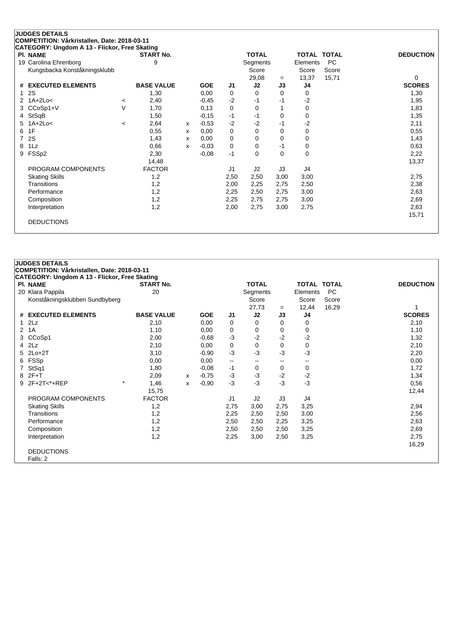| <b>PI. NAME</b>               |         | <b>START No.</b>  |   |            |                | <b>TOTAL</b>   |           | TOTAL TOTAL |                | <b>DEDUCTION</b> |
|-------------------------------|---------|-------------------|---|------------|----------------|----------------|-----------|-------------|----------------|------------------|
| 19 Carolina Ehrenborg         |         | 9                 |   |            |                | Segments       |           | Elements    | <b>PC</b>      |                  |
| Kungsbacka Konståkningsklubb  |         |                   |   |            |                | Score          |           | Score       | Score<br>15,71 | 0                |
| <b>EXECUTED ELEMENTS</b><br># |         | <b>BASE VALUE</b> |   | <b>GOE</b> | J1             | 29,08<br>J2    | $=$<br>J3 | 13,37<br>J4 |                | <b>SCORES</b>    |
| 2S<br>1                       |         |                   |   | 0,00       |                | $\Omega$       |           |             |                |                  |
|                               |         | 1,30              |   |            | 0              |                | 0         | 0           |                | 1,30             |
| $2$ 1A+2Lo<                   | $\,<\,$ | 2,40              |   | $-0,45$    | $-2$           | $-1$           | -1        | $-2$        |                | 1,95             |
| CCoSp1+V                      | V       | 1,70              |   | 0,13       | 0              | 0              |           | 0           |                | 1,83             |
| StSqB<br>4                    |         | 1,50              |   | $-0,15$    | $-1$           | $-1$           | 0         | 0           |                | 1,35             |
| $1A+2Lo<$<br>5                | $\,<\,$ | 2,64              | x | $-0.53$    | $-2$           | $-2$           | $-1$      | $-2$        |                | 2,11             |
| 1F<br>6                       |         | 0,55              | X | 0,00       | 0              | 0              | 0         | 0           |                | 0,55             |
| 2S<br>7                       |         | 1,43              | х | 0,00       | 0              | 0              | $\Omega$  | 0           |                | 1,43             |
| 1Lz<br>8                      |         | 0,66              | X | $-0.03$    | 0              | 0              | $-1$      | 0           |                | 0,63             |
| FSSp2<br>9                    |         | 2,30              |   | $-0,08$    | $-1$           | 0              | $\Omega$  | $\Omega$    |                | 2,22             |
|                               |         | 14,48             |   |            |                |                |           |             |                | 13,37            |
| PROGRAM COMPONENTS            |         | <b>FACTOR</b>     |   |            | J <sub>1</sub> | J <sub>2</sub> | J3        | J4          |                |                  |
| <b>Skating Skills</b>         |         | 1,2               |   |            | 2,50           | 2,50           | 3,00      | 3,00        |                | 2,75             |
| <b>Transitions</b>            |         | 1,2               |   |            | 2,00           | 2,25           | 2,75      | 2,50        |                | 2,38             |
| Performance                   |         | 1,2               |   |            | 2,25           | 2,50           | 2,75      | 3,00        |                | 2,63             |
| Composition                   |         | 1,2               |   |            | 2,25           | 2,75           | 2,75      | 3,00        |                | 2,69             |
| Interpretation                |         | 1,2               |   |            | 2,00           | 2,75           | 3,00      | 2,75        |                | 2,63             |
|                               |         |                   |   |            |                |                |           |             |                | 15,71            |

|                    | COMPETITION: Vårkristallen, Date: 2018-03-11  |                   |   |            |                          |              |      |                    |           |                  |
|--------------------|-----------------------------------------------|-------------------|---|------------|--------------------------|--------------|------|--------------------|-----------|------------------|
|                    | CATEGORY: Ungdom A 13 - Flickor, Free Skating |                   |   |            |                          |              |      |                    |           |                  |
| <b>PI. NAME</b>    |                                               | <b>START No.</b>  |   |            |                          | <b>TOTAL</b> |      | <b>TOTAL TOTAL</b> |           | <b>DEDUCTION</b> |
|                    | 20 Klara Pappila                              | 20                |   |            |                          | Segments     |      | Elements           | <b>PC</b> |                  |
|                    | Konståkningsklubben Sundbyberg                |                   |   |            |                          | Score        |      | Score              | Score     |                  |
|                    |                                               |                   |   |            |                          | 27,73        | $=$  | 12,44              | 16,29     |                  |
|                    | # EXECUTED ELEMENTS                           | <b>BASE VALUE</b> |   | <b>GOE</b> | J1                       | J2           | J3   | J4                 |           | <b>SCORES</b>    |
| 1                  | 2Lz                                           | 2,10              |   | 0,00       | 0                        | 0            | 0    | 0                  |           | 2,10             |
| 1A<br>$\mathbf{2}$ |                                               | 1,10              |   | 0,00       | 0                        | 0            | 0    | 0                  |           | 1,10             |
| 3                  | CCoSp1                                        | 2,00              |   | $-0.68$    | $-3$                     | $-2$         | $-2$ | $-2$               |           | 1,32             |
| $4$ $2Lz$          |                                               | 2,10              |   | 0,00       | 0                        | 0            | 0    | 0                  |           | 2,10             |
|                    | 5 2Lo+2T                                      | 3,10              |   | $-0,90$    | $-3$                     | $-3$         | $-3$ | $-3$               |           | 2,20             |
| 6.                 | FSSp                                          | 0,00              |   | 0,00       | $\overline{\phantom{a}}$ | $- -$        | $-$  | --                 |           | 0,00             |
|                    | StSq1                                         | 1,80              |   | $-0,08$    | -1                       | 0            | 0    | 0                  |           | 1,72             |
| 8                  | $2F+T$                                        | 2,09              | х | $-0,75$    | $-3$                     | $-3$         | $-2$ | $-2$               |           | 1,34             |
| 9                  | $\star$<br>$2F+2T < +REP$                     | 1,46              | x | $-0,90$    | $-3$                     | $-3$         | $-3$ | $-3$               |           | 0,56             |
|                    |                                               | 15,75             |   |            |                          |              |      |                    |           | 12,44            |
|                    | PROGRAM COMPONENTS                            | <b>FACTOR</b>     |   |            | J <sub>1</sub>           | J2           | J3   | J4                 |           |                  |
|                    | <b>Skating Skills</b>                         | 1,2               |   |            | 2,75                     | 3,00         | 2,75 | 3,25               |           | 2,94             |
|                    | Transitions                                   | 1,2               |   |            | 2,25                     | 2,50         | 2,50 | 3,00               |           | 2,56             |
|                    | Performance                                   | 1,2               |   |            | 2,50                     | 2,50         | 2,25 | 3,25               |           | 2,63             |
|                    | Composition                                   | 1,2               |   |            | 2,50                     | 2,50         | 2,50 | 3,25               |           | 2,69             |
|                    | Interpretation                                | 1,2               |   |            | 2,25                     | 3,00         | 2,50 | 3,25               |           | 2,75             |
|                    |                                               |                   |   |            |                          |              |      |                    |           | 16,29            |
|                    | <b>DEDUCTIONS</b>                             |                   |   |            |                          |              |      |                    |           |                  |
|                    | Falls: 2                                      |                   |   |            |                          |              |      |                    |           |                  |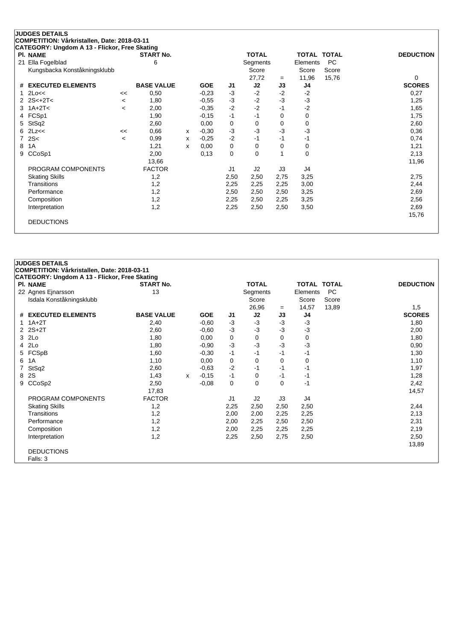|    | <b>JUDGES DETAILS</b>                         |         |                   |   |            |      |              |      |                    |           |                  |
|----|-----------------------------------------------|---------|-------------------|---|------------|------|--------------|------|--------------------|-----------|------------------|
|    | COMPETITION: Vårkristallen, Date: 2018-03-11  |         |                   |   |            |      |              |      |                    |           |                  |
|    | CATEGORY: Ungdom A 13 - Flickor, Free Skating |         |                   |   |            |      |              |      |                    |           |                  |
|    | PI. NAME                                      |         | <b>START No.</b>  |   |            |      | <b>TOTAL</b> |      | <b>TOTAL TOTAL</b> |           | <b>DEDUCTION</b> |
| 21 | Ella Fogelblad                                |         | 6                 |   |            |      | Segments     |      | Elements           | <b>PC</b> |                  |
|    | Kungsbacka Konståkningsklubb                  |         |                   |   |            |      | Score        |      | Score              | Score     |                  |
|    |                                               |         |                   |   |            |      | 27,72        | $=$  | 11,96              | 15,76     | $\Omega$         |
| #  | <b>EXECUTED ELEMENTS</b>                      |         | <b>BASE VALUE</b> |   | <b>GOE</b> | J1   | J2           | J3   | J4                 |           | <b>SCORES</b>    |
|    | 2Lo<<                                         | <<      | 0,50              |   | $-0,23$    | $-3$ | $-2$         | $-2$ | $-2$               |           | 0,27             |
|    | $2S< +2T<$                                    | $\,<\,$ | 1,80              |   | $-0,55$    | $-3$ | $-2$         | $-3$ | $-3$               |           | 1,25             |
| 3  | $1A+2T<$                                      | $\,<$   | 2,00              |   | $-0,35$    | $-2$ | $-2$         | $-1$ | $-2$               |           | 1,65             |
| 4  | FCSp1                                         |         | 1,90              |   | $-0,15$    | $-1$ | $-1$         | 0    | 0                  |           | 1,75             |
| 5  | StSq2                                         |         | 2,60              |   | 0,00       | 0    | 0            | 0    | 0                  |           | 2,60             |
| 6  | 2Lz<<                                         | <<      | 0,66              | x | $-0,30$    | $-3$ | $-3$         | $-3$ | $-3$               |           | 0,36             |
| 7  | 2S<                                           | $\prec$ | 0,99              | x | $-0,25$    | $-2$ | $-1$         | $-1$ | -1                 |           | 0,74             |
| 8  | 1A                                            |         | 1,21              | X | 0,00       | 0    | 0            | 0    | 0                  |           | 1,21             |
| 9  | CCoSp1                                        |         | 2,00              |   | 0,13       | 0    | 0            |      | 0                  |           | 2,13             |
|    |                                               |         | 13,66             |   |            |      |              |      |                    |           | 11,96            |
|    | PROGRAM COMPONENTS                            |         | <b>FACTOR</b>     |   |            | J1   | J2           | J3   | J4                 |           |                  |
|    | <b>Skating Skills</b>                         |         | 1,2               |   |            | 2,50 | 2,50         | 2,75 | 3,25               |           | 2,75             |
|    | Transitions                                   |         | 1,2               |   |            | 2,25 | 2,25         | 2,25 | 3,00               |           | 2,44             |
|    | Performance                                   |         | 1,2               |   |            | 2,50 | 2,50         | 2,50 | 3,25               |           | 2,69             |
|    | Composition                                   |         | 1,2               |   |            | 2,25 | 2,50         | 2,25 | 3,25               |           | 2,56             |
|    | Interpretation                                |         | 1,2               |   |            | 2,25 | 2,50         | 2,50 | 3,50               |           | 2,69             |
|    |                                               |         |                   |   |            |      |              |      |                    |           | 15,76            |
|    | <b>DEDUCTIONS</b>                             |         |                   |   |            |      |              |      |                    |           |                  |
|    |                                               |         |                   |   |            |      |              |      |                    |           |                  |

|   | <b>JUDGES DETAILS</b>                         |                   |   |            |                |              |      |                    |       |                  |
|---|-----------------------------------------------|-------------------|---|------------|----------------|--------------|------|--------------------|-------|------------------|
|   | COMPETITION: Vårkristallen, Date: 2018-03-11  |                   |   |            |                |              |      |                    |       |                  |
|   | CATEGORY: Ungdom A 13 - Flickor, Free Skating |                   |   |            |                |              |      |                    |       |                  |
|   | <b>PI. NAME</b>                               | <b>START No.</b>  |   |            |                | <b>TOTAL</b> |      | <b>TOTAL TOTAL</b> |       | <b>DEDUCTION</b> |
|   | 22 Agnes Ejnarsson                            | 13                |   |            |                | Segments     |      | Elements           | PC    |                  |
|   | Isdala Konståkningsklubb                      |                   |   |            |                | Score        |      | Score              | Score |                  |
|   |                                               |                   |   |            |                | 26,96        | $=$  | 14,57              | 13,89 | 1,5              |
|   | # EXECUTED ELEMENTS                           | <b>BASE VALUE</b> |   | <b>GOE</b> | J1             | J2           | J3   | J4                 |       | <b>SCORES</b>    |
|   | $1.1A+2T$                                     | 2,40              |   | $-0.60$    | $-3$           | $-3$         | $-3$ | $-3$               |       | 1,80             |
|   | 2 2S+2T                                       | 2,60              |   | $-0,60$    | $-3$           | $-3$         | $-3$ | $-3$               |       | 2,00             |
| 3 | 2Lo                                           | 1,80              |   | 0,00       | 0              | 0            | 0    | $\mathbf 0$        |       | 1,80             |
| 4 | 2 <sub>LO</sub>                               | 1,80              |   | $-0,90$    | $-3$           | $-3$         | $-3$ | $-3$               |       | 0,90             |
| 5 | FCSpB                                         | 1,60              |   | $-0,30$    | $-1$           | $-1$         | $-1$ | -1                 |       | 1,30             |
| 6 | 1A                                            | 1,10              |   | 0,00       | 0              | 0            | 0    | 0                  |       | 1,10             |
| 7 | StSq2                                         | 2,60              |   | $-0,63$    | $-2$           | $-1$         | $-1$ | -1                 |       | 1,97             |
| 8 | 2S                                            | 1,43              | X | $-0,15$    | $-1$           | 0            | -1   | -1                 |       | 1,28             |
| 9 | CCoSp2                                        | 2,50              |   | $-0,08$    | 0              | 0            | 0    | $-1$               |       | 2,42             |
|   |                                               | 17,83             |   |            |                |              |      |                    |       | 14,57            |
|   | PROGRAM COMPONENTS                            | <b>FACTOR</b>     |   |            | J <sub>1</sub> | J2           | J3   | J4                 |       |                  |
|   | <b>Skating Skills</b>                         | 1,2               |   |            | 2,25           | 2,50         | 2,50 | 2,50               |       | 2,44             |
|   | Transitions                                   | 1,2               |   |            | 2,00           | 2,00         | 2,25 | 2,25               |       | 2,13             |
|   | Performance                                   | 1,2               |   |            | 2,00           | 2,25         | 2,50 | 2,50               |       | 2,31             |
|   | Composition                                   | 1,2               |   |            | 2,00           | 2,25         | 2,25 | 2,25               |       | 2,19             |
|   | Interpretation                                | 1,2               |   |            | 2,25           | 2,50         | 2,75 | 2,50               |       | 2,50             |
|   |                                               |                   |   |            |                |              |      |                    |       | 13,89            |
|   | <b>DEDUCTIONS</b>                             |                   |   |            |                |              |      |                    |       |                  |
|   | Falls: 3                                      |                   |   |            |                |              |      |                    |       |                  |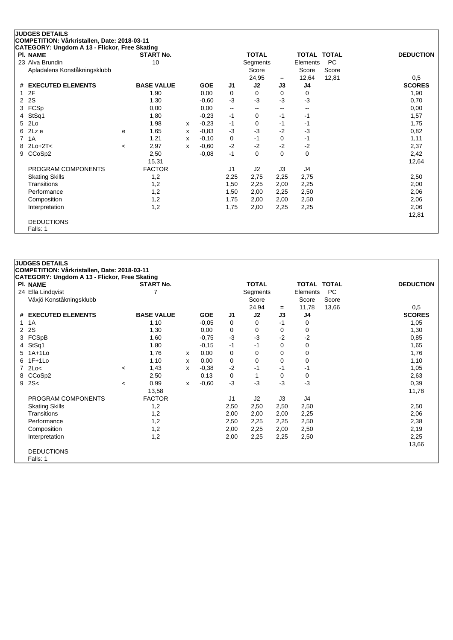| CATEGORY: Ungdom A 13 - Flickor, Free Skating<br><b>PI. NAME</b> |         | <b>START No.</b>  |   |            |                          | <b>TOTAL</b> |                          | <b>TOTAL TOTAL</b> |           | <b>DEDUCTION</b> |
|------------------------------------------------------------------|---------|-------------------|---|------------|--------------------------|--------------|--------------------------|--------------------|-----------|------------------|
| 23 Alva Brundin                                                  |         | 10                |   |            |                          | Segments     |                          | Elements           | <b>PC</b> |                  |
| Apladalens Konståkningsklubb                                     |         |                   |   |            |                          | Score        |                          | Score              | Score     |                  |
|                                                                  |         |                   |   |            |                          | 24,95        | $=$                      | 12,64              | 12,81     | 0,5              |
| <b>EXECUTED ELEMENTS</b><br>#                                    |         | <b>BASE VALUE</b> |   | <b>GOE</b> | J1                       | J2           | J3                       | J4                 |           | <b>SCORES</b>    |
| 2F                                                               |         | 1,90              |   | 0,00       | 0                        | 0            | 0                        | 0                  |           | 1,90             |
| 2S<br>2                                                          |         | 1,30              |   | $-0.60$    | $-3$                     | $-3$         | -3                       | $-3$               |           | 0,70             |
| FCSp<br>3                                                        |         | 0,00              |   | 0,00       | $\overline{\phantom{a}}$ | --           | $\overline{\phantom{a}}$ | --                 |           | 0,00             |
| StSq1<br>4                                                       |         | 1,80              |   | $-0,23$    | $-1$                     | 0            | $-1$                     | $-1$               |           | 1,57             |
| 2Lo<br>5.                                                        |         | 1,98              | x | $-0,23$    | $-1$                     | 0            | -1                       | -1                 |           | 1,75             |
| 2Lz e<br>6                                                       | e       | 1,65              | x | $-0,83$    | $-3$                     | $-3$         | $-2$                     | $-3$               |           | 0,82             |
| 1A<br>7                                                          |         | 1,21              | x | $-0,10$    | 0                        | $-1$         | 0                        | -1                 |           | 1,11             |
| $2Lo+2T<$<br>8                                                   | $\prec$ | 2,97              | X | $-0.60$    | $-2$                     | $-2$         | $-2$                     | $-2$               |           | 2,37             |
| CCoSp2<br>9                                                      |         | 2,50              |   | $-0,08$    | $-1$                     | $\Omega$     | 0                        | $\mathbf 0$        |           | 2,42             |
|                                                                  |         | 15,31             |   |            |                          |              |                          |                    |           | 12,64            |
| PROGRAM COMPONENTS                                               |         | <b>FACTOR</b>     |   |            | J <sub>1</sub>           | J2           | J3                       | J4                 |           |                  |
| <b>Skating Skills</b>                                            |         | 1,2               |   |            | 2,25                     | 2,75         | 2,25                     | 2,75               |           | 2,50             |
| Transitions                                                      |         | 1,2               |   |            | 1,50                     | 2,25         | 2,00                     | 2,25               |           | 2,00             |
| Performance                                                      |         | 1,2               |   |            | 1,50                     | 2,00         | 2,25                     | 2,50               |           | 2,06             |
| Composition                                                      |         | 1,2               |   |            | 1,75                     | 2,00         | 2,00                     | 2,50               |           | 2,06             |
| Interpretation                                                   |         | 1,2               |   |            | 1,75                     | 2,00         | 2,25                     | 2,25               |           | 2,06             |
|                                                                  |         |                   |   |            |                          |              |                          |                    |           | 12,81            |

|                | <b>JUDGES DETAILS</b>                         |       |                   |   |            |                |              |      |                    |       |                  |
|----------------|-----------------------------------------------|-------|-------------------|---|------------|----------------|--------------|------|--------------------|-------|------------------|
|                | COMPETITION: Vårkristallen, Date: 2018-03-11  |       |                   |   |            |                |              |      |                    |       |                  |
|                | CATEGORY: Ungdom A 13 - Flickor, Free Skating |       |                   |   |            |                |              |      |                    |       |                  |
|                | PI. NAME                                      |       | <b>START No.</b>  |   |            |                | <b>TOTAL</b> |      | <b>TOTAL TOTAL</b> |       | <b>DEDUCTION</b> |
|                | 24 Ella Lindqvist                             |       |                   |   |            |                | Segments     |      | Elements           | PC    |                  |
|                | Växjö Konståkningsklubb                       |       |                   |   |            |                | Score        |      | Score              | Score |                  |
|                |                                               |       |                   |   |            |                | 24,94        | $=$  | 11,78              | 13,66 | 0,5              |
| #              | <b>EXECUTED ELEMENTS</b>                      |       | <b>BASE VALUE</b> |   | <b>GOE</b> | J1             | J2           | J3   | J4                 |       | <b>SCORES</b>    |
| 1.             | 1A                                            |       | 1,10              |   | $-0,05$    | 0              | 0            | $-1$ | 0                  |       | 1,05             |
| $\overline{2}$ | 2S                                            |       | 1,30              |   | 0,00       | 0              | 0            | 0    | 0                  |       | 1,30             |
| 3              | FCSpB                                         |       | 1,60              |   | $-0,75$    | $-3$           | -3           | $-2$ | $-2$               |       | 0,85             |
| 4              | StSq1                                         |       | 1,80              |   | $-0,15$    | $-1$           | $-1$         | 0    | $\mathbf 0$        |       | 1,65             |
| 5              | $1A+1L0$                                      |       | 1,76              | x | 0,00       | $\mathbf 0$    | $\mathbf 0$  | 0    | $\mathbf 0$        |       | 1,76             |
| 6              | $1F+1L0$                                      |       | 1,10              | x | 0,00       | 0              | 0            | 0    | 0                  |       | 1,10             |
| 7              | 2Lo<                                          | $\,<$ | 1,43              | x | $-0,38$    | $-2$           | $-1$         | $-1$ | -1                 |       | 1,05             |
| 8              | CCoSp2                                        |       | 2,50              |   | 0,13       | $\mathbf 0$    | 1            | 0    | $\mathbf 0$        |       | 2,63             |
| 9              | 2S<                                           | $\,<$ | 0,99              | X | $-0.60$    | $-3$           | -3           | $-3$ | $-3$               |       | 0,39             |
|                |                                               |       | 13,58             |   |            |                |              |      |                    |       | 11,78            |
|                | PROGRAM COMPONENTS                            |       | <b>FACTOR</b>     |   |            | J <sub>1</sub> | J2           | J3   | J4                 |       |                  |
|                | <b>Skating Skills</b>                         |       | 1,2               |   |            | 2,50           | 2,50         | 2,50 | 2,50               |       | 2,50             |
|                | Transitions                                   |       | 1,2               |   |            | 2,00           | 2,00         | 2,00 | 2,25               |       | 2,06             |
|                | Performance                                   |       | 1,2               |   |            | 2,50           | 2,25         | 2,25 | 2,50               |       | 2,38             |
|                | Composition                                   |       | 1,2               |   |            | 2,00           | 2,25         | 2,00 | 2,50               |       | 2,19             |
|                | Interpretation                                |       | 1,2               |   |            | 2,00           | 2,25         | 2,25 | 2,50               |       | 2,25             |
|                |                                               |       |                   |   |            |                |              |      |                    |       | 13,66            |
|                | <b>DEDUCTIONS</b>                             |       |                   |   |            |                |              |      |                    |       |                  |
|                | Falls: 1                                      |       |                   |   |            |                |              |      |                    |       |                  |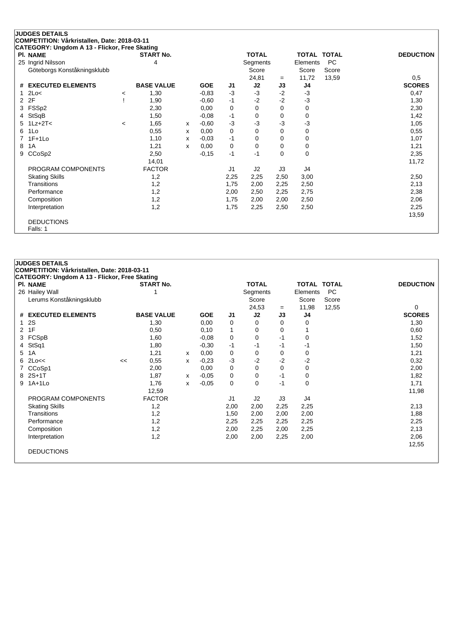|    | <b>JUDGES DETAILS</b>                                            |         |                   |   |            |                |              |          |             |           |                  |
|----|------------------------------------------------------------------|---------|-------------------|---|------------|----------------|--------------|----------|-------------|-----------|------------------|
|    | COMPETITION: Vårkristallen, Date: 2018-03-11                     |         |                   |   |            |                |              |          |             |           |                  |
|    | CATEGORY: Ungdom A 13 - Flickor, Free Skating<br><b>PI. NAME</b> |         | <b>START No.</b>  |   |            |                | <b>TOTAL</b> |          | TOTAL TOTAL |           | <b>DEDUCTION</b> |
|    | 25 Ingrid Nilsson                                                |         | 4                 |   |            |                | Segments     |          | Elements    | <b>PC</b> |                  |
|    | Göteborgs Konståkningsklubb                                      |         |                   |   |            |                | Score        |          | Score       | Score     |                  |
|    |                                                                  |         |                   |   |            |                | 24,81        | $=$      | 11,72       | 13,59     | 0,5              |
| #  | <b>EXECUTED ELEMENTS</b>                                         |         | <b>BASE VALUE</b> |   | <b>GOE</b> | J1             | J2           | J3       | J4          |           | <b>SCORES</b>    |
| 1  | 2Lo<                                                             | $\prec$ | 1,30              |   | $-0.83$    | $-3$           | $-3$         | $-2$     | $-3$        |           | 0,47             |
| 2  | 2F                                                               |         | 1,90              |   | $-0.60$    | $-1$           | $-2$         | $-2$     | $-3$        |           | 1,30             |
| 3  | FSSp2                                                            |         | 2,30              |   | 0,00       | 0              | 0            | 0        | $\mathbf 0$ |           | 2,30             |
| 4  | StSqB                                                            |         | 1,50              |   | $-0.08$    | -1             | 0            | 0        | 0           |           | 1,42             |
| 5. | $1Lz + 2T <$                                                     | $\,<\,$ | 1,65              | x | $-0.60$    | $-3$           | $-3$         | $-3$     | $-3$        |           | 1,05             |
| 6  | 1Lo                                                              |         | 0,55              | x | 0,00       | 0              | 0            | 0        | $\mathbf 0$ |           | 0,55             |
|    | $1F+1Lo$                                                         |         | 1,10              | x | $-0.03$    | $-1$           | 0            | 0        | $\mathbf 0$ |           | 1,07             |
| 8  | 1A                                                               |         | 1,21              | x | 0,00       | 0              | 0            | $\Omega$ | $\mathbf 0$ |           | 1,21             |
| 9  | CCoSp2                                                           |         | 2,50              |   | $-0,15$    | $-1$           | $-1$         | 0        | $\mathbf 0$ |           | 2,35             |
|    |                                                                  |         | 14,01             |   |            |                |              |          |             |           | 11,72            |
|    | PROGRAM COMPONENTS                                               |         | <b>FACTOR</b>     |   |            | J <sub>1</sub> | J2           | J3       | J4          |           |                  |
|    | <b>Skating Skills</b>                                            |         | 1,2               |   |            | 2,25           | 2,25         | 2,50     | 3,00        |           | 2,50             |
|    | Transitions                                                      |         | 1,2               |   |            | 1,75           | 2,00         | 2,25     | 2,50        |           | 2,13             |
|    | Performance                                                      |         | 1,2               |   |            | 2,00           | 2,50         | 2,25     | 2,75        |           | 2,38             |
|    | Composition                                                      |         | 1,2               |   |            | 1,75           | 2,00         | 2,00     | 2,50        |           | 2,06             |
|    | Interpretation                                                   |         | 1,2               |   |            | 1,75           | 2,25         | 2,50     | 2,50        |           | 2,25             |
|    |                                                                  |         |                   |   |            |                |              |          |             |           | 13,59            |
|    | <b>DEDUCTIONS</b>                                                |         |                   |   |            |                |              |          |             |           |                  |
|    | Falls: 1                                                         |         |                   |   |            |                |              |          |             |           |                  |

| <b>JUDGES DETAILS</b> |                                               |    |                   |   |            |                |              |      |             |           |                  |  |
|-----------------------|-----------------------------------------------|----|-------------------|---|------------|----------------|--------------|------|-------------|-----------|------------------|--|
|                       | COMPETITION: Vårkristallen, Date: 2018-03-11  |    |                   |   |            |                |              |      |             |           |                  |  |
|                       | CATEGORY: Ungdom A 13 - Flickor, Free Skating |    |                   |   |            |                |              |      |             |           |                  |  |
|                       | <b>PI. NAME</b>                               |    | <b>START No.</b>  |   |            |                | <b>TOTAL</b> |      | TOTAL TOTAL |           | <b>DEDUCTION</b> |  |
|                       | 26 Hailey Wall                                |    |                   |   |            |                | Segments     |      | Elements    | <b>PC</b> |                  |  |
|                       | Lerums Konståkningsklubb                      |    |                   |   |            |                | Score        |      | Score       | Score     |                  |  |
|                       |                                               |    |                   |   |            |                | 24,53        | $=$  | 11,98       | 12,55     | 0                |  |
| #                     | <b>EXECUTED ELEMENTS</b>                      |    | <b>BASE VALUE</b> |   | <b>GOE</b> | J1             | J2           | J3   | J4          |           | <b>SCORES</b>    |  |
|                       | 2S                                            |    | 1,30              |   | 0,00       | 0              | 0            | 0    | 0           |           | 1,30             |  |
| 2                     | 1F                                            |    | 0,50              |   | 0,10       | $\mathbf{1}$   | 0            | 0    |             |           | 0,60             |  |
|                       | 3 FCSpB                                       |    | 1,60              |   | $-0,08$    | 0              | 0            | $-1$ | 0           |           | 1,52             |  |
| 4                     | StSq1                                         |    | 1,80              |   | $-0.30$    | $-1$           | $-1$         | $-1$ | -1          |           | 1,50             |  |
| 5                     | 1A                                            |    | 1,21              | x | 0,00       | $\mathbf 0$    | $\mathbf 0$  | 0    | 0           |           | 1,21             |  |
| 6.                    | 2Lo<<                                         | << | 0,55              | X | $-0,23$    | $-3$           | $-2$         | $-2$ | $-2$        |           | 0,32             |  |
|                       | CCoSp1                                        |    | 2,00              |   | 0,00       | 0              | 0            | 0    | 0           |           | 2,00             |  |
|                       | 8 2S+1T                                       |    | 1,87              | x | $-0,05$    | 0              | 0            | $-1$ | 0           |           | 1,82             |  |
|                       | 9 1A+1Lo                                      |    | 1,76              | x | $-0,05$    | $\mathbf 0$    | $\mathbf 0$  | $-1$ | 0           |           | 1,71             |  |
|                       |                                               |    | 12,59             |   |            |                |              |      |             |           | 11,98            |  |
|                       | PROGRAM COMPONENTS                            |    | <b>FACTOR</b>     |   |            | J <sub>1</sub> | J2           | J3   | J4          |           |                  |  |
|                       | <b>Skating Skills</b>                         |    | 1,2               |   |            | 2,00           | 2,00         | 2,25 | 2,25        |           | 2,13             |  |
|                       | Transitions                                   |    | 1,2               |   |            | 1,50           | 2,00         | 2,00 | 2,00        |           | 1,88             |  |
|                       | Performance                                   |    | 1,2               |   |            | 2,25           | 2,25         | 2,25 | 2,25        |           | 2,25             |  |
|                       | Composition                                   |    | 1,2               |   |            | 2,00           | 2,25         | 2,00 | 2,25        |           | 2,13             |  |
|                       | Interpretation                                |    | 1,2               |   |            | 2,00           | 2,00         | 2,25 | 2,00        |           | 2,06             |  |
|                       |                                               |    |                   |   |            |                |              |      |             |           | 12,55            |  |
|                       | <b>DEDUCTIONS</b>                             |    |                   |   |            |                |              |      |             |           |                  |  |
|                       |                                               |    |                   |   |            |                |              |      |             |           |                  |  |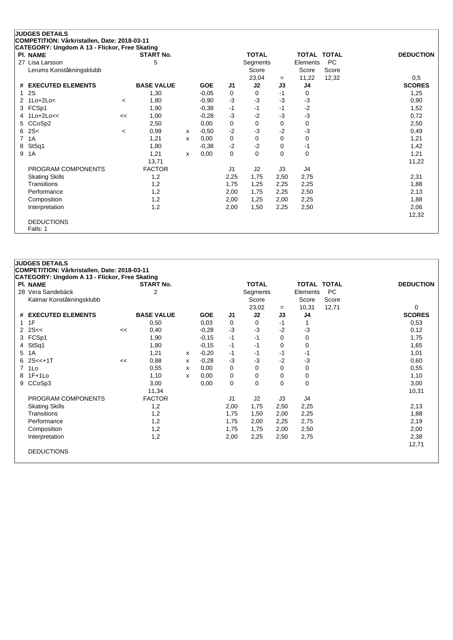| PI. NAME                      |         | <b>START No.</b>  |   |            |                | <b>TOTAL</b> |          | TOTAL TOTAL    |       | <b>DEDUCTION</b> |
|-------------------------------|---------|-------------------|---|------------|----------------|--------------|----------|----------------|-------|------------------|
| 27 Lisa Larsson               |         | 5                 |   |            |                | Segments     |          | Elements       | PC    |                  |
| Lerums Konståkningsklubb      |         |                   |   |            |                | Score        |          | Score          | Score |                  |
|                               |         |                   |   |            |                | 23,04        | $=$      | 11,22          | 12,32 | 0,5              |
| <b>EXECUTED ELEMENTS</b><br># |         | <b>BASE VALUE</b> |   | <b>GOE</b> | J <sub>1</sub> | J2           | J3       | J <sub>4</sub> |       | <b>SCORES</b>    |
| 2S<br>1                       |         | 1,30              |   | $-0,05$    | 0              | 0            | $-1$     | 0              |       | 1,25             |
| $1$ Lo $+2$ Lo $<$<br>2       | $\,<\,$ | 1,80              |   | $-0,90$    | -3             | $-3$         | $-3$     | $-3$           |       | 0,90             |
| FCSp1<br>3                    |         | 1,90              |   | $-0,38$    | $-1$           | $-1$         | $-1$     | $-2$           |       | 1,52             |
| $1$ Lo $+2$ Lo<<<br>4         | <<      | 1,00              |   | $-0,28$    | -3             | $-2$         | $-3$     | $-3$           |       | 0,72             |
| CCoSp2<br>5                   |         | 2,50              |   | 0,00       | 0              | 0            | 0        | 0              |       | 2,50             |
| 2S<<br>6                      | $\,<\,$ | 0,99              | x | $-0.50$    | $-2$           | $-3$         | $-2$     | $-3$           |       | 0,49             |
| 1A<br>7                       |         | 1,21              | x | 0,00       | 0              | 0            | 0        | 0              |       | 1,21             |
| StSq1<br>8                    |         | 1,80              |   | $-0.38$    | $-2$           | $-2$         | 0        | $-1$           |       | 1,42             |
| 1A<br>9                       |         | 1,21              | x | 0,00       | 0              | $\Omega$     | $\Omega$ | 0              |       | 1,21             |
|                               |         | 13,71             |   |            |                |              |          |                |       | 11,22            |
| PROGRAM COMPONENTS            |         | <b>FACTOR</b>     |   |            | J1             | J2           | J3       | J4             |       |                  |
| <b>Skating Skills</b>         |         | 1,2               |   |            | 2,25           | 1,75         | 2,50     | 2,75           |       | 2,31             |
| Transitions                   |         | 1,2               |   |            | 1,75           | 1,25         | 2,25     | 2,25           |       | 1,88             |
| Performance                   |         | 1,2               |   |            | 2,00           | 1,75         | 2,25     | 2,50           |       | 2,13             |
| Composition                   |         | 1,2               |   |            | 2,00           | 1,25         | 2,00     | 2,25           |       | 1,88             |
| Interpretation                |         | 1,2               |   |            | 2,00           | 1,50         | 2,25     | 2,50           |       | 2,06             |
|                               |         |                   |   |            |                |              |          |                |       | 12,32            |

**JUDGES DETAILS COMPETITION: Vårkristallen, Date: 2018-03-11 CATEGORY: Ungdom A 13 - Flickor, Free Skating Pl. NAME START No. TOTAL TOTAL TOTAL DEDUCTION** 28 Vera Sandebäck 2 Segments Elements PC Kalmar Konståkningsklubb Score Score Score Score Score Score Score Score Score Score Score Score Score Score Score Score Score Score Score Score Score Score Score Score Score Score Score Score Score Score Score Score Score 23,02 <sup>=</sup> 10,31 12,71 0 **# EXECUTED ELEMENTS BASE VALUE GOE J1 J2 J3 J4 SCORES** 1 1F 0,50 0,03 0 0 -1 1 0,53 2 2S<< << 0,40 -0,28 -3 -3 -2 -3 0,12 3 FCSp1 1,90 -0,15 -1 -1 0 0 1,75 4 StSq1 1,80 -0,15 -1 -1 0 1,65 5 1A 1,21 <sup>x</sup> -0,20 -1 -1 -1 -1 1,01 6 2S<<+1T << 0,88 <sup>x</sup> -0,28 -3 -3 -2 -3 0,60 7 1Lo 0,55 <sup>x</sup> 0,00 0 0 0 0 0,55 8 1F+1Lo 1,10 <sup>x</sup> 0,00 0 0 0 0 1,10 9 CCoSp3 3,00 0,00 0 0 0 0 3,00 11,34 10,31 PROGRAM COMPONENTS FACTOR J1 J2 J3 J4 Skating Skills 1,2 2,00 1,75 2,50 2,25 2,13 Transitions 1,2 1,75 1,50 2,00 2,25 1,88 Performance 1,2 1,75 2,00 2,25 2,75 2,19 Composition 1,2 1,75 1,75 2,00 2,50 2,00 Interpretation 1,2 2,00 2,25 2,50 2,75 2,38 12,71 DEDUCTIONS